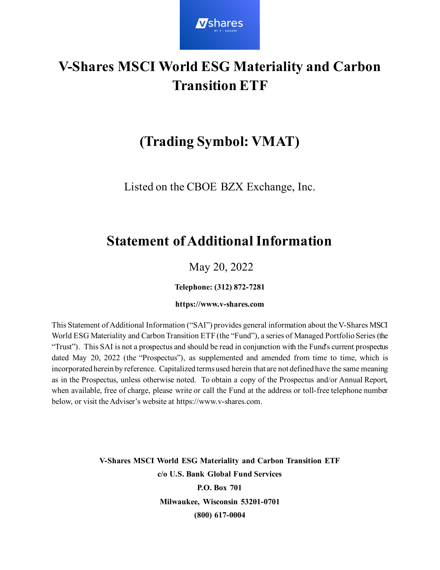

# **V-Shares MSCI World ESG Materiality and Carbon Transition ETF**

# **(Trading Symbol: VMAT)**

Listed on the CBOE BZX Exchange, Inc.

# **Statement of Additional Information**

# May 20, 2022

**Telephone: (312) 872-7281** 

#### **https://www.v-shares.com**

This Statement of Additional Information ("SAI") provides general information about the V-Shares MSCI World ESG Materiality and Carbon Transition ETF (the "Fund"), a series of Managed Portfolio Series (the "Trust"). This SAI is not a prospectus and should be read in conjunction with the Fund's current prospectus dated May 20, 2022 (the "Prospectus"), as supplemented and amended from time to time, which is incorporated herein by reference. Capitalized terms used herein that are not defined have the same meaning as in the Prospectus, unless otherwise noted. To obtain a copy of the Prospectus and/or Annual Report, when available, free of charge, please write or call the Fund at the address or toll-free telephone number below, or visit the Adviser's website at https://www.v-shares.com.

> **V-Shares MSCI World ESG Materiality and Carbon Transition ETF c/o U.S. Bank Global Fund Services P.O. Box 701 Milwaukee, Wisconsin 53201-0701 (800) 617-0004**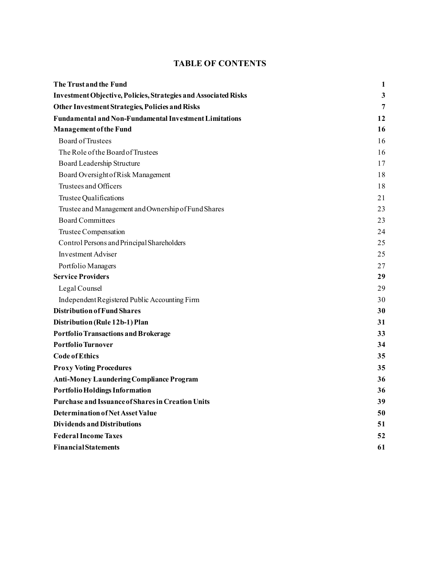### **TABLE OF CONTENTS**

| The Trust and the Fund                                          | $\mathbf{1}$ |
|-----------------------------------------------------------------|--------------|
| Investment Objective, Policies, Strategies and Associated Risks | $\mathbf{3}$ |
| <b>Other Investment Strategies, Policies and Risks</b>          | 7            |
| <b>Fundamental and Non-Fundamental Investment Limitations</b>   | 12           |
| <b>Management of the Fund</b>                                   | 16           |
| Board of Trustees                                               | 16           |
| The Role of the Board of Trustees                               | 16           |
| Board Leadership Structure                                      | 17           |
| Board Oversight of Risk Management                              | 18           |
| Trustees and Officers                                           | 18           |
| Trustee Qualifications                                          | 21           |
| Trustee and Management and Ownership of Fund Shares             | 23           |
| <b>Board Committees</b>                                         | 23           |
| Trustee Compensation                                            | 24           |
| Control Persons and Principal Shareholders                      | 25           |
| <b>Investment Adviser</b>                                       | 25           |
| Portfolio Managers                                              | 27           |
| <b>Service Providers</b>                                        | 29           |
| Legal Counsel                                                   | 29           |
| Independent Registered Public Accounting Firm                   | 30           |
| <b>Distribution of Fund Shares</b>                              | 30           |
| Distribution (Rule 12b-1) Plan                                  | 31           |
| <b>Portfolio Transactions and Brokerage</b>                     | 33           |
| <b>Portfolio Turnover</b>                                       | 34           |
| <b>Code of Ethics</b>                                           | 35           |
| <b>Proxy Voting Procedures</b>                                  | 35           |
| <b>Anti-Money Laundering Compliance Program</b>                 | 36           |
| <b>Portfolio Holdings Information</b>                           | 36           |
| <b>Purchase and Issuance of Shares in Creation Units</b>        | 39           |
| <b>Determination of Net Asset Value</b>                         | 50           |
| <b>Dividends and Distributions</b>                              | 51           |
| <b>Federal Income Taxes</b>                                     | 52           |
| <b>Financial Statements</b>                                     | 61           |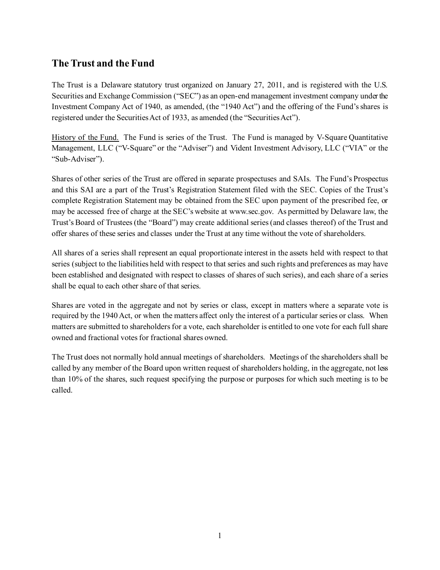## <span id="page-2-0"></span>**The Trust and the Fund**

The Trust is a Delaware statutory trust organized on January 27, 2011, and is registered with the U.S. Securities and Exchange Commission ("SEC") as an open-end management investment company under the Investment Company Act of 1940, as amended, (the "1940 Act") and the offering of the Fund's shares is registered under the Securities Act of 1933, as amended (the "Securities Act").

History of the Fund. The Fund is series of the Trust. The Fund is managed by V-Square Quantitative Management, LLC ("V-Square" or the "Adviser") and Vident Investment Advisory, LLC ("VIA" or the "Sub-Adviser").

Shares of other series of the Trust are offered in separate prospectuses and SAIs. The Fund's Prospectus and this SAI are a part of the Trust's Registration Statement filed with the SEC. Copies of the Trust's complete Registration Statement may be obtained from the SEC upon payment of the prescribed fee, or may be accessed free of charge at the SEC's website at www.sec.gov. As permitted by Delaware law, the Trust's Board of Trustees (the "Board") may create additional series (and classes thereof) of the Trust and offer shares of these series and classes under the Trust at any time without the vote of shareholders.

All shares of a series shall represent an equal proportionate interest in the assets held with respect to that series (subject to the liabilities held with respect to that series and such rights and preferences as may have been established and designated with respect to classes of shares of such series), and each share of a series shall be equal to each other share of that series.

Shares are voted in the aggregate and not by series or class, except in matters where a separate vote is required by the 1940 Act, or when the matters affect only the interest of a particular series or class. When matters are submitted to shareholders for a vote, each shareholder is entitled to one vote for each full share owned and fractional votes for fractional shares owned.

The Trust does not normally hold annual meetings of shareholders. Meetings of the shareholders shall be called by any member of the Board upon written request of shareholders holding, in the aggregate, not less than 10% of the shares, such request specifying the purpose or purposes for which such meeting is to be called.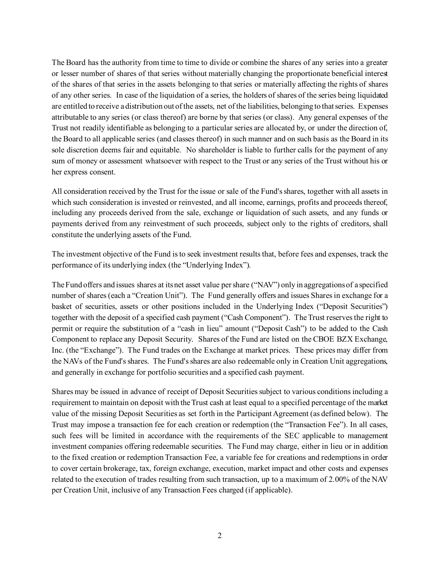The Board has the authority from time to time to divide or combine the shares of any series into a greater or lesser number of shares of that series without materially changing the proportionate beneficial interest of the shares of that series in the assets belonging to that series or materially affecting the rights of shares of any other series. In case of the liquidation of a series, the holders of shares of the series being liquidated are entitled to receive a distribution out of the assets, net of the liabilities, belonging to that series. Expenses attributable to any series (or class thereof) are borne by that series (or class). Any general expenses of the Trust not readily identifiable as belonging to a particular series are allocated by, or under the direction of, the Board to all applicable series (and classes thereof) in such manner and on such basis as the Board in its sole discretion deems fair and equitable. No shareholder is liable to further calls for the payment of any sum of money or assessment whatsoever with respect to the Trust or any series of the Trust without his or her express consent.

All consideration received by the Trust for the issue or sale of the Fund's shares, together with all assets in which such consideration is invested or reinvested, and all income, earnings, profits and proceeds thereof, including any proceeds derived from the sale, exchange or liquidation of such assets, and any funds or payments derived from any reinvestment of such proceeds, subject only to the rights of creditors, shall constitute the underlying assets of the Fund.

The investment objective of the Fund is to seek investment results that, before fees and expenses, track the performance of its underlying index (the "Underlying Index").

The Fund offers and issues shares at its net asset value per share ("NAV") only in aggregations of a specified number of shares (each a "Creation Unit"). The Fund generally offers and issues Shares in exchange for a basket of securities, assets or other positions included in the Underlying Index ("Deposit Securities") together with the deposit of a specified cash payment ("Cash Component"). The Trust reserves the right to permit or require the substitution of a "cash in lieu" amount ("Deposit Cash") to be added to the Cash Component to replace any Deposit Security. Shares of the Fund are listed on the CBOE BZX Exchange, Inc. (the "Exchange"). The Fund trades on the Exchange at market prices. These prices may differ from the NAVs of the Fund'sshares. The Fund's shares are also redeemable only in Creation Unit aggregations, and generally in exchange for portfolio securities and a specified cash payment.

Shares may be issued in advance of receipt of Deposit Securities subject to various conditions including a requirement to maintain on deposit with the Trust cash at least equal to a specified percentage of the market value of the missing Deposit Securities as set forth in the Participant Agreement (as defined below). The Trust may impose a transaction fee for each creation or redemption (the "Transaction Fee"). In all cases, such fees will be limited in accordance with the requirements of the SEC applicable to management investment companies offering redeemable securities. The Fund may charge, either in lieu or in addition to the fixed creation or redemption Transaction Fee, a variable fee for creations and redemptions in order to cover certain brokerage, tax, foreign exchange, execution, market impact and other costs and expenses related to the execution of trades resulting from such transaction, up to a maximum of 2.00% of the NAV per Creation Unit, inclusive of any Transaction Fees charged (if applicable).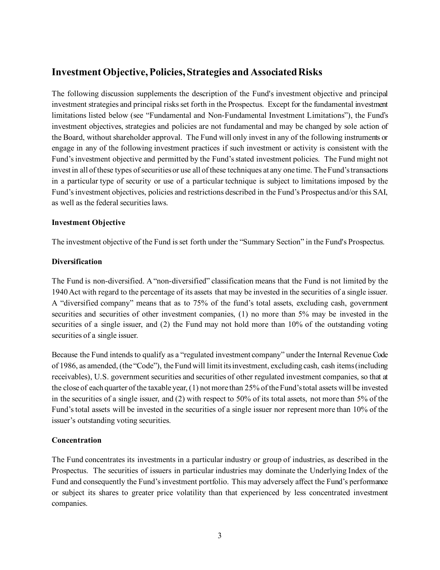## <span id="page-4-0"></span>**Investment Objective, Policies, Strategies and Associated Risks**

The following discussion supplements the description of the Fund's investment objective and principal investment strategies and principal risks set forth in the Prospectus. Except for the fundamental investment limitations listed below (see "Fundamental and Non-Fundamental Investment Limitations"), the Fund's investment objectives, strategies and policies are not fundamental and may be changed by sole action of the Board, without shareholder approval. The Fund will only invest in any of the following instruments or engage in any of the following investment practices if such investment or activity is consistent with the Fund's investment objective and permitted by the Fund's stated investment policies. The Fund might not invest in all of these types of securities or use all of these techniques at any one time. The Fund's transactions in a particular type of security or use of a particular technique is subject to limitations imposed by the Fund's investment objectives, policies and restrictions described in the Fund's Prospectus and/or this SAI, as well as the federal securities laws.

#### **Investment Objective**

The investment objective of the Fund is set forth under the "Summary Section" in the Fund's Prospectus.

#### **Diversification**

The Fund is non-diversified. A "non-diversified" classification means that the Fund is not limited by the 1940 Act with regard to the percentage of its assets that may be invested in the securities of a single issuer. A "diversified company" means that as to 75% of the fund's total assets, excluding cash, government securities and securities of other investment companies, (1) no more than 5% may be invested in the securities of a single issuer, and (2) the Fund may not hold more than 10% of the outstanding voting securities of a single issuer.

Because the Fund intends to qualify as a "regulated investment company" under the Internal Revenue Code of 1986, as amended, (the "Code"), the Fund will limit its investment, excluding cash, cash items (including receivables), U.S. government securities and securities of other regulated investment companies, so that at the close of each quarter of the taxable year, (1) not more than 25% of the Fund's total assets will be invested in the securities of a single issuer, and (2) with respect to 50% of its total assets, not more than 5% of the Fund's total assets will be invested in the securities of a single issuer nor represent more than 10% of the issuer's outstanding voting securities.

#### **Concentration**

The Fund concentrates its investments in a particular industry or group of industries, as described in the Prospectus. The securities of issuers in particular industries may dominate the Underlying Index of the Fund and consequently the Fund's investment portfolio. This may adversely affect the Fund's performance or subject its shares to greater price volatility than that experienced by less concentrated investment companies.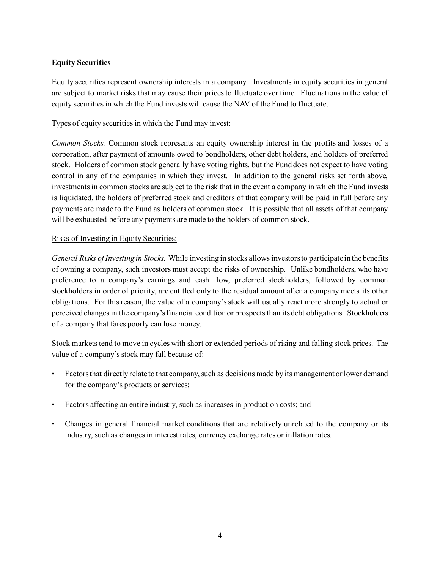#### **Equity Securities**

Equity securities represent ownership interests in a company. Investments in equity securities in general are subject to market risks that may cause their prices to fluctuate over time. Fluctuations in the value of equity securities in which the Fund invests will cause the NAV of the Fund to fluctuate.

Types of equity securities in which the Fund may invest:

*Common Stocks.* Common stock represents an equity ownership interest in the profits and losses of a corporation, after payment of amounts owed to bondholders, other debt holders, and holders of preferred stock. Holders of common stock generally have voting rights, but the Fund does not expect to have voting control in any of the companies in which they invest. In addition to the general risks set forth above, investments in common stocks are subject to the risk that in the event a company in which the Fund invests is liquidated, the holders of preferred stock and creditors of that company will be paid in full before any payments are made to the Fund as holders of common stock. It is possible that all assets of that company will be exhausted before any payments are made to the holders of common stock.

#### Risks of Investing in Equity Securities:

*General Risks of Investing in Stocks.* While investing in stocks allows investors to participate in the benefits of owning a company, such investors must accept the risks of ownership. Unlike bondholders, who have preference to a company's earnings and cash flow, preferred stockholders, followed by common stockholders in order of priority, are entitled only to the residual amount after a company meets its other obligations. For this reason, the value of a company's stock will usually react more strongly to actual or perceived changes in the company's financial condition or prospects than its debt obligations. Stockholders of a company that fares poorly can lose money.

Stock markets tend to move in cycles with short or extended periods of rising and falling stock prices. The value of a company's stock may fall because of:

- Factors that directly relate to that company, such as decisions made by its management or lower demand for the company's products or services;
- Factors affecting an entire industry, such as increases in production costs; and
- Changes in general financial market conditions that are relatively unrelated to the company or its industry, such as changes in interest rates, currency exchange rates or inflation rates.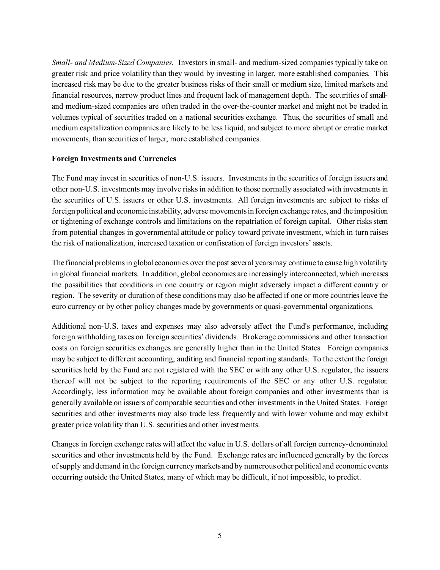*Small- and Medium-Sized Companies.* Investors in small- and medium-sized companies typically take on greater risk and price volatility than they would by investing in larger, more established companies. This increased risk may be due to the greater business risks of their small or medium size, limited markets and financial resources, narrow product lines and frequent lack of management depth. The securities of smalland medium-sized companies are often traded in the over-the-counter market and might not be traded in volumes typical of securities traded on a national securities exchange. Thus, the securities of small and medium capitalization companies are likely to be less liquid, and subject to more abrupt or erratic market movements, than securities of larger, more established companies.

#### **Foreign Investments and Currencies**

The Fund may invest in securities of non-U.S. issuers. Investments in the securities of foreign issuers and other non-U.S. investments may involve risks in addition to those normally associated with investments in the securities of U.S. issuers or other U.S. investments. All foreign investments are subject to risks of foreign political and economic instability, adverse movements in foreign exchange rates, and the imposition or tightening of exchange controls and limitations on the repatriation of foreign capital. Other risks stem from potential changes in governmental attitude or policy toward private investment, which in turn raises the risk of nationalization, increased taxation or confiscation of foreign investors' assets.

The financial problems in global economies over the past several years may continue to cause high volatility in global financial markets. In addition, global economies are increasingly interconnected, which increases the possibilities that conditions in one country or region might adversely impact a different country or region. The severity or duration of these conditions may also be affected if one or more countries leave the euro currency or by other policy changes made by governments or quasi-governmental organizations.

Additional non-U.S. taxes and expenses may also adversely affect the Fund's performance, including foreign withholding taxes on foreign securities' dividends. Brokerage commissions and other transaction costs on foreign securities exchanges are generally higher than in the United States. Foreign companies may be subject to different accounting, auditing and financial reporting standards. To the extent the foreign securities held by the Fund are not registered with the SEC or with any other U.S. regulator, the issuers thereof will not be subject to the reporting requirements of the SEC or any other U.S. regulator. Accordingly, less information may be available about foreign companies and other investments than is generally available on issuers of comparable securities and other investments in the United States. Foreign securities and other investments may also trade less frequently and with lower volume and may exhibit greater price volatility than U.S. securities and other investments.

Changes in foreign exchange rates will affect the value in U.S. dollars of all foreign currency-denominated securities and other investments held by the Fund. Exchange rates are influenced generally by the forces of supply and demand in the foreign currency markets and by numerous other political and economic events occurring outside the United States, many of which may be difficult, if not impossible, to predict.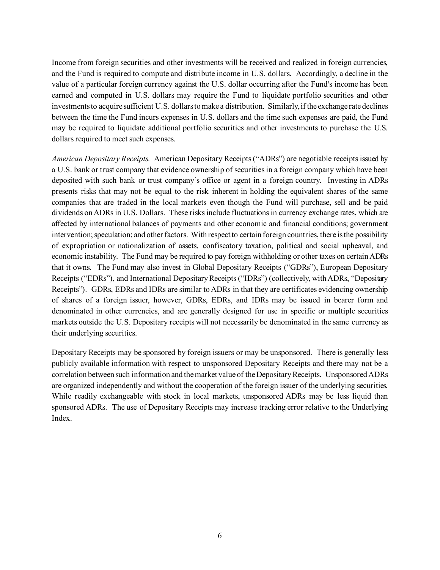Income from foreign securities and other investments will be received and realized in foreign currencies, and the Fund is required to compute and distribute income in U.S. dollars. Accordingly, a decline in the value of a particular foreign currency against the U.S. dollar occurring after the Fund's income has been earned and computed in U.S. dollars may require the Fund to liquidate portfolio securities and other investments to acquire sufficient U.S. dollars to make a distribution. Similarly, if the exchange rate declines between the time the Fund incurs expenses in U.S. dollars and the time such expenses are paid, the Fund may be required to liquidate additional portfolio securities and other investments to purchase the U.S. dollars required to meet such expenses.

*American Depositary Receipts.* American Depositary Receipts ("ADRs") are negotiable receipts issued by a U.S. bank or trust company that evidence ownership of securities in a foreign company which have been deposited with such bank or trust company's office or agent in a foreign country. Investing in ADRs presents risks that may not be equal to the risk inherent in holding the equivalent shares of the same companies that are traded in the local markets even though the Fund will purchase, sell and be paid dividends on ADRs in U.S. Dollars. These risks include fluctuations in currency exchange rates, which are affected by international balances of payments and other economic and financial conditions; government intervention; speculation; and other factors. With respect to certain foreign countries, there is the possibility of expropriation or nationalization of assets, confiscatory taxation, political and social upheaval, and economic instability. The Fund may be required to pay foreign withholding or other taxes on certain ADRs that it owns. The Fund may also invest in Global Depositary Receipts ("GDRs"), European Depositary Receipts ("EDRs"), and International Depositary Receipts ("IDRs") (collectively, with ADRs, "Depositary Receipts"). GDRs, EDRs and IDRs are similar to ADRs in that they are certificates evidencing ownership of shares of a foreign issuer, however, GDRs, EDRs, and IDRs may be issued in bearer form and denominated in other currencies, and are generally designed for use in specific or multiple securities markets outside the U.S. Depositary receipts will not necessarily be denominated in the same currency as their underlying securities.

Depositary Receipts may be sponsored by foreign issuers or may be unsponsored. There is generally less publicly available information with respect to unsponsored Depositary Receipts and there may not be a correlation between such information and the market value of the Depositary Receipts. Unsponsored ADRs are organized independently and without the cooperation of the foreign issuer of the underlying securities. While readily exchangeable with stock in local markets, unsponsored ADRs may be less liquid than sponsored ADRs. The use of Depositary Receipts may increase tracking error relative to the Underlying Index.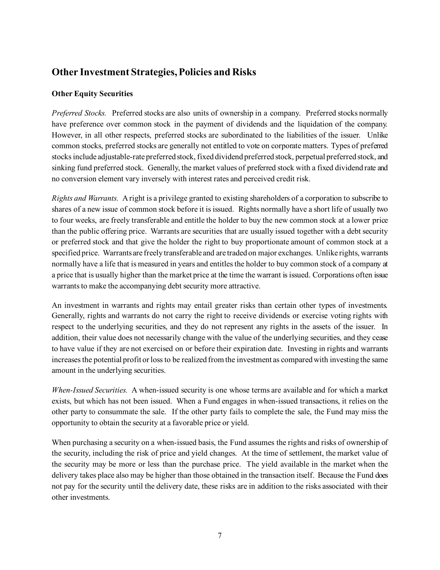## <span id="page-8-0"></span>**Other Investment Strategies, Policies and Risks**

#### **Other Equity Securities**

*Preferred Stocks.* Preferred stocks are also units of ownership in a company. Preferred stocks normally have preference over common stock in the payment of dividends and the liquidation of the company. However, in all other respects, preferred stocks are subordinated to the liabilities of the issuer. Unlike common stocks, preferred stocks are generally not entitled to vote on corporate matters. Types of preferred stocks include adjustable-rate preferred stock, fixed dividend preferred stock, perpetual preferred stock, and sinking fund preferred stock. Generally, the market values of preferred stock with a fixed dividend rate and no conversion element vary inversely with interest rates and perceived credit risk.

*Rights and Warrants.* A right is a privilege granted to existing shareholders of a corporation to subscribe to shares of a new issue of common stock before it is issued. Rights normally have a short life of usually two to four weeks, are freely transferable and entitle the holder to buy the new common stock at a lower price than the public offering price. Warrants are securities that are usually issued together with a debt security or preferred stock and that give the holder the right to buy proportionate amount of common stock at a specified price. Warrants are freely transferable and are traded on major exchanges. Unlike rights, warrants normally have a life that is measured in years and entitles the holder to buy common stock of a company at a price that is usually higher than the market price at the time the warrant is issued. Corporations often issue warrants to make the accompanying debt security more attractive.

An investment in warrants and rights may entail greater risks than certain other types of investments. Generally, rights and warrants do not carry the right to receive dividends or exercise voting rights with respect to the underlying securities, and they do not represent any rights in the assets of the issuer. In addition, their value does not necessarily change with the value of the underlying securities, and they cease to have value if they are not exercised on or before their expiration date. Investing in rights and warrants increases the potential profit or loss to be realized from the investment as compared with investing the same amount in the underlying securities.

*When-Issued Securities.* A when-issued security is one whose terms are available and for which a market exists, but which has not been issued. When a Fund engages in when-issued transactions, it relies on the other party to consummate the sale. If the other party fails to complete the sale, the Fund may miss the opportunity to obtain the security at a favorable price or yield.

When purchasing a security on a when-issued basis, the Fund assumes the rights and risks of ownership of the security, including the risk of price and yield changes. At the time of settlement, the market value of the security may be more or less than the purchase price. The yield available in the market when the delivery takes place also may be higher than those obtained in the transaction itself. Because the Fund does not pay for the security until the delivery date, these risks are in addition to the risks associated with their other investments.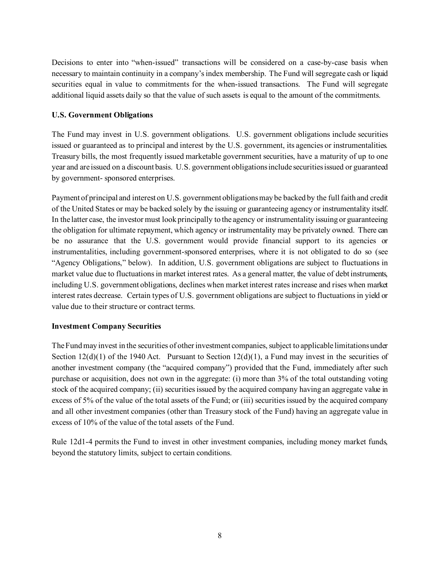Decisions to enter into "when-issued" transactions will be considered on a case-by-case basis when necessary to maintain continuity in a company's index membership. The Fund will segregate cash or liquid securities equal in value to commitments for the when-issued transactions. The Fund will segregate additional liquid assets daily so that the value of such assets is equal to the amount of the commitments.

#### **U.S. Government Obligations**

The Fund may invest in U.S. government obligations. U.S. government obligations include securities issued or guaranteed as to principal and interest by the U.S. government, its agencies or instrumentalities. Treasury bills, the most frequently issued marketable government securities, have a maturity of up to one year and are issued on a discount basis. U.S. government obligations include securities issued or guaranteed by government- sponsored enterprises.

Payment of principal and interest on U.S. government obligations may be backed by the full faith and credit of the United States or may be backed solely by the issuing or guaranteeing agency or instrumentality itself. In the latter case, the investor must look principally to the agency or instrumentality issuing or guaranteeing the obligation for ultimate repayment, which agency or instrumentality may be privately owned. There can be no assurance that the U.S. government would provide financial support to its agencies or instrumentalities, including government-sponsored enterprises, where it is not obligated to do so (see "Agency Obligations," below). In addition, U.S. government obligations are subject to fluctuations in market value due to fluctuations in market interest rates. As a general matter, the value of debt instruments, including U.S. government obligations, declines when market interest rates increase and rises when market interest rates decrease. Certain types of U.S. government obligations are subject to fluctuations in yield or value due to their structure or contract terms.

#### **Investment Company Securities**

The Fund may invest in the securities of other investment companies, subject to applicable limitations under Section  $12(d)(1)$  of the 1940 Act. Pursuant to Section  $12(d)(1)$ , a Fund may invest in the securities of another investment company (the "acquired company") provided that the Fund, immediately after such purchase or acquisition, does not own in the aggregate: (i) more than 3% of the total outstanding voting stock of the acquired company; (ii) securities issued by the acquired company having an aggregate value in excess of 5% of the value of the total assets of the Fund; or (iii) securities issued by the acquired company and all other investment companies (other than Treasury stock of the Fund) having an aggregate value in excess of 10% of the value of the total assets of the Fund.

Rule 12d1-4 permits the Fund to invest in other investment companies, including money market funds, beyond the statutory limits, subject to certain conditions.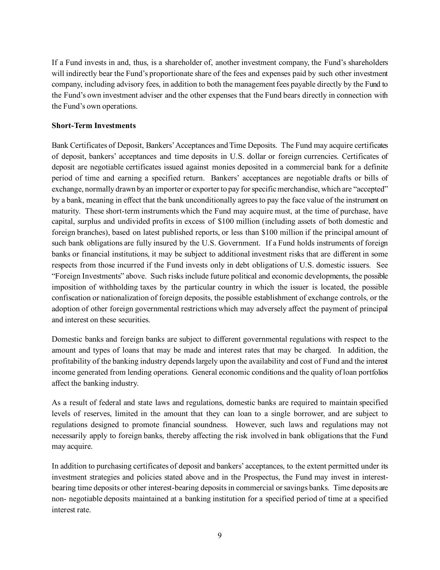If a Fund invests in and, thus, is a shareholder of, another investment company, the Fund's shareholders will indirectly bear the Fund's proportionate share of the fees and expenses paid by such other investment company, including advisory fees, in addition to both the management fees payable directly by the Fund to the Fund's own investment adviser and the other expenses that the Fund bears directly in connection with the Fund's own operations.

#### **Short-Term Investments**

Bank Certificates of Deposit, Bankers' Acceptances and Time Deposits. The Fund may acquire certificates of deposit, bankers' acceptances and time deposits in U.S. dollar or foreign currencies. Certificates of deposit are negotiable certificates issued against monies deposited in a commercial bank for a definite period of time and earning a specified return. Bankers' acceptances are negotiable drafts or bills of exchange, normally drawn by an importer or exporter to pay for specific merchandise, which are "accepted" by a bank, meaning in effect that the bank unconditionally agrees to pay the face value of the instrument on maturity. These short-term instruments which the Fund may acquire must, at the time of purchase, have capital, surplus and undivided profits in excess of \$100 million (including assets of both domestic and foreign branches), based on latest published reports, or less than \$100 million if the principal amount of such bank obligations are fully insured by the U.S. Government. If a Fund holds instruments of foreign banks or financial institutions, it may be subject to additional investment risks that are different in some respects from those incurred if the Fund invests only in debt obligations of U.S. domestic issuers. See "Foreign Investments" above. Such risks include future political and economic developments, the possible imposition of withholding taxes by the particular country in which the issuer is located, the possible confiscation or nationalization of foreign deposits, the possible establishment of exchange controls, or the adoption of other foreign governmental restrictions which may adversely affect the payment of principal and interest on these securities.

Domestic banks and foreign banks are subject to different governmental regulations with respect to the amount and types of loans that may be made and interest rates that may be charged. In addition, the profitability of the banking industry depends largely upon the availability and cost of Fund and the interest income generated from lending operations. General economic conditions and the quality of loan portfolios affect the banking industry.

As a result of federal and state laws and regulations, domestic banks are required to maintain specified levels of reserves, limited in the amount that they can loan to a single borrower, and are subject to regulations designed to promote financial soundness. However, such laws and regulations may not necessarily apply to foreign banks, thereby affecting the risk involved in bank obligations that the Fund may acquire.

In addition to purchasing certificates of deposit and bankers' acceptances, to the extent permitted under its investment strategies and policies stated above and in the Prospectus, the Fund may invest in interestbearing time deposits or other interest-bearing deposits in commercial or savings banks. Time deposits are non- negotiable deposits maintained at a banking institution for a specified period of time at a specified interest rate.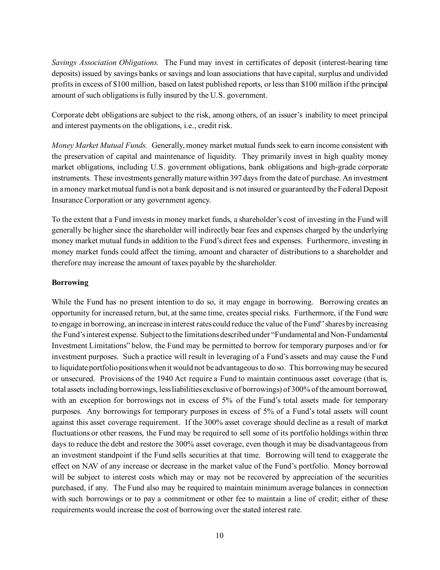*Savings Association Obligations.* The Fund may invest in certificates of deposit (interest-bearing time deposits) issued by savings banks or savings and loan associations that have capital, surplus and undivided profits in excess of \$100 million, based on latest published reports, or less than \$100 million if the principal amount of such obligations is fully insured by the U.S. government.

Corporate debt obligations are subject to the risk, among others, of an issuer's inability to meet principal and interest payments on the obligations, i.e., credit risk.

*Money Market Mutual Funds.* Generally, money market mutual funds seek to earn income consistent with the preservation of capital and maintenance of liquidity. They primarily invest in high quality money market obligations, including U.S. government obligations, bank obligations and high-grade corporate instruments. These investments generally mature within 397 days from the date of purchase. An investment in a money market mutual fund is not a bank deposit and is not insured or guaranteed by the Federal Deposit Insurance Corporation or any government agency.

To the extent that a Fund invests in money market funds, a shareholder's cost of investing in the Fund will generally be higher since the shareholder will indirectly bear fees and expenses charged by the underlying money market mutual funds in addition to the Fund's direct fees and expenses. Furthermore, investing in money market funds could affect the timing, amount and character of distributions to a shareholder and therefore may increase the amount of taxes payable by the shareholder.

#### **Borrowing**

While the Fund has no present intention to do so, it may engage in borrowing. Borrowing creates an opportunity for increased return, but, at the same time, creates special risks. Furthermore, if the Fund were to engage in borrowing, an increase in interest rates could reduce the value of the Fund'' shares by increasing the Fund's interest expense. Subject to the limitations described under "Fundamental and Non-Fundamental Investment Limitations" below, the Fund may be permitted to borrow for temporary purposes and/or for investment purposes. Such a practice will result in leveraging of a Fund's assets and may cause the Fund to liquidate portfolio positions when it would not be advantageous to do so. This borrowing may be secured or unsecured. Provisions of the 1940 Act require a Fund to maintain continuous asset coverage (that is, total assets including borrowings, less liabilities exclusive of borrowings) of 300% of the amount borrowed, with an exception for borrowings not in excess of 5% of the Fund's total assets made for temporary purposes. Any borrowings for temporary purposes in excess of 5% of a Fund's total assets will count against this asset coverage requirement. If the 300% asset coverage should decline as a result of market fluctuations or other reasons, the Fund may be required to sell some of its portfolio holdings within three days to reduce the debt and restore the 300% asset coverage, even though it may be disadvantageous from an investment standpoint if the Fund sells securities at that time. Borrowing will tend to exaggerate the effect on NAV of any increase or decrease in the market value of the Fund's portfolio. Money borrowed will be subject to interest costs which may or may not be recovered by appreciation of the securities purchased, if any. The Fund also may be required to maintain minimum average balances in connection with such borrowings or to pay a commitment or other fee to maintain a line of credit; either of these requirements would increase the cost of borrowing over the stated interest rate.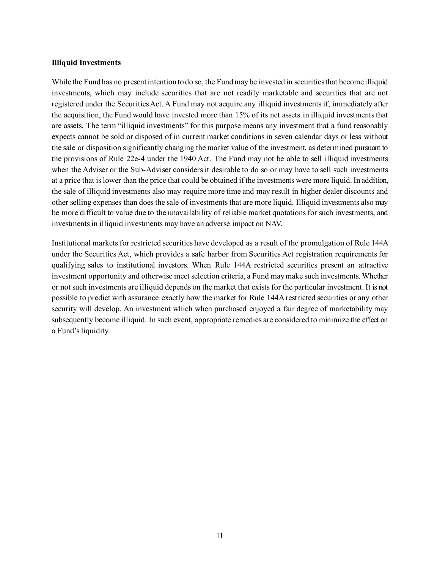#### **Illiquid Investments**

While the Fund has no present intention to do so, the Fund may be invested in securities that become illiquid investments, which may include securities that are not readily marketable and securities that are not registered under the Securities Act. A Fund may not acquire any illiquid investments if, immediately after the acquisition, the Fund would have invested more than 15% of its net assets in illiquid investments that are assets. The term "illiquid investments" for this purpose means any investment that a fund reasonably expects cannot be sold or disposed of in current market conditions in seven calendar days or less without the sale or disposition significantly changing the market value of the investment, as determined pursuant to the provisions of Rule 22e-4 under the 1940 Act. The Fund may not be able to sell illiquid investments when the Adviser or the Sub-Adviser considers it desirable to do so or may have to sell such investments at a price that is lower than the price that could be obtained if the investments were more liquid. In addition, the sale of illiquid investments also may require more time and may result in higher dealer discounts and other selling expenses than does the sale of investments that are more liquid. Illiquid investments also may be more difficult to value due to the unavailability of reliable market quotations for such investments, and investments in illiquid investments may have an adverse impact on NAV.

Institutional markets for restricted securities have developed as a result of the promulgation of Rule 144A under the Securities Act, which provides a safe harbor from Securities Act registration requirements for qualifying sales to institutional investors. When Rule 144A restricted securities present an attractive investment opportunity and otherwise meet selection criteria, a Fund may make such investments. Whether or not such investments are illiquid depends on the market that exists for the particular investment. It is not possible to predict with assurance exactly how the market for Rule 144A restricted securities or any other security will develop. An investment which when purchased enjoyed a fair degree of marketability may subsequently become illiquid. In such event, appropriate remedies are considered to minimize the effect on a Fund's liquidity.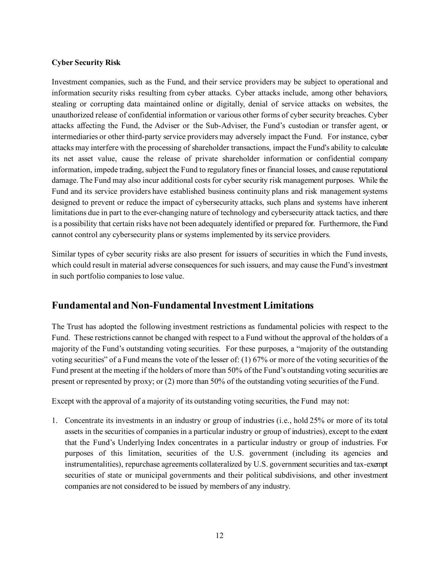#### **Cyber Security Risk**

Investment companies, such as the Fund, and their service providers may be subject to operational and information security risks resulting from cyber attacks. Cyber attacks include, among other behaviors, stealing or corrupting data maintained online or digitally, denial of service attacks on websites, the unauthorized release of confidential information or various other forms of cyber security breaches. Cyber attacks affecting the Fund, the Adviser or the Sub-Adviser, the Fund's custodian or transfer agent, or intermediaries or other third-party service providers may adversely impact the Fund. For instance, cyber attacks may interfere with the processing of shareholder transactions, impact the Fund's ability to calculate its net asset value, cause the release of private shareholder information or confidential company information, impede trading, subject the Fund to regulatory fines or financial losses, and cause reputational damage. The Fund may also incur additional costs for cyber security risk management purposes. While the Fund and its service providers have established business continuity plans and risk management systems designed to prevent or reduce the impact of cybersecurity attacks, such plans and systems have inherent limitations due in part to the ever-changing nature of technology and cybersecurity attack tactics, and there is a possibility that certain risks have not been adequately identified or prepared for. Furthermore, the Fund cannot control any cybersecurity plans or systems implemented by its service providers.

Similar types of cyber security risks are also present for issuers of securities in which the Fund invests, which could result in material adverse consequences for such issuers, and may cause the Fund's investment in such portfolio companies to lose value.

## <span id="page-13-0"></span>**Fundamental and Non-Fundamental Investment Limitations**

The Trust has adopted the following investment restrictions as fundamental policies with respect to the Fund. These restrictions cannot be changed with respect to a Fund without the approval of the holders of a majority of the Fund's outstanding voting securities. For these purposes, a "majority of the outstanding voting securities" of a Fund means the vote of the lesser of: (1) 67% or more of the voting securities of the Fund present at the meeting if the holders of more than 50% of the Fund's outstanding voting securities are present or represented by proxy; or (2) more than 50% of the outstanding voting securities of the Fund.

Except with the approval of a majority of its outstanding voting securities, the Fund may not:

1. Concentrate its investments in an industry or group of industries (i.e., hold 25% or more of its total assets in the securities of companies in a particular industry or group of industries), except to the extent that the Fund's Underlying Index concentrates in a particular industry or group of industries. For purposes of this limitation, securities of the U.S. government (including its agencies and instrumentalities), repurchase agreements collateralized by U.S. government securities and tax-exempt securities of state or municipal governments and their political subdivisions, and other investment companies are not considered to be issued by members of any industry.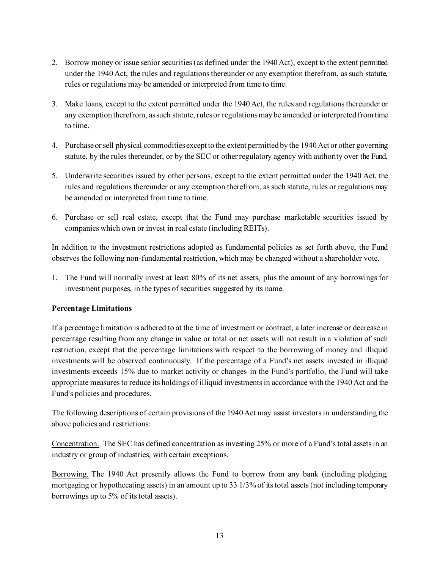- 2. Borrow money or issue senior securities (as defined under the 1940 Act), except to the extent permitted under the 1940 Act, the rules and regulations thereunder or any exemption therefrom, as such statute, rules or regulations may be amended or interpreted from time to time.
- 3. Make loans, except to the extent permitted under the 1940 Act, the rules and regulations thereunder or any exemption therefrom, as such statute, rules or regulations may be amended or interpreted from time to time.
- 4. Purchase or sell physical commodities except to the extent permitted by the 1940 Act or other governing statute, by the rules thereunder, or by the SEC or other regulatory agency with authority over the Fund.
- 5. Underwrite securities issued by other persons, except to the extent permitted under the 1940 Act, the rules and regulations thereunder or any exemption therefrom, as such statute, rules or regulations may be amended or interpreted from time to time.
- 6. Purchase or sell real estate, except that the Fund may purchase marketable securities issued by companies which own or invest in real estate (including REITs).

In addition to the investment restrictions adopted as fundamental policies as set forth above, the Fund observes the following non-fundamental restriction, which may be changed without a shareholder vote.

1. The Fund will normally invest at least 80% of its net assets, plus the amount of any borrowings for investment purposes, in the types of securities suggested by its name.

#### **Percentage Limitations**

If a percentage limitation is adhered to at the time of investment or contract, a later increase or decrease in percentage resulting from any change in value or total or net assets will not result in a violation of such restriction, except that the percentage limitations with respect to the borrowing of money and illiquid investments will be observed continuously. If the percentage of a Fund's net assets invested in illiquid investments exceeds 15% due to market activity or changes in the Fund's portfolio, the Fund will take appropriate measures to reduce its holdings of illiquid investments in accordance with the 1940 Act and the Fund's policies and procedures.

The following descriptions of certain provisions of the 1940 Act may assist investors in understanding the above policies and restrictions:

Concentration. The SEC has defined concentration as investing 25% or more of a Fund's total assets in an industry or group of industries, with certain exceptions.

Borrowing. The 1940 Act presently allows the Fund to borrow from any bank (including pledging, mortgaging or hypothecating assets) in an amount up to 33 1/3% of its total assets (not including temporary borrowings up to 5% of its total assets).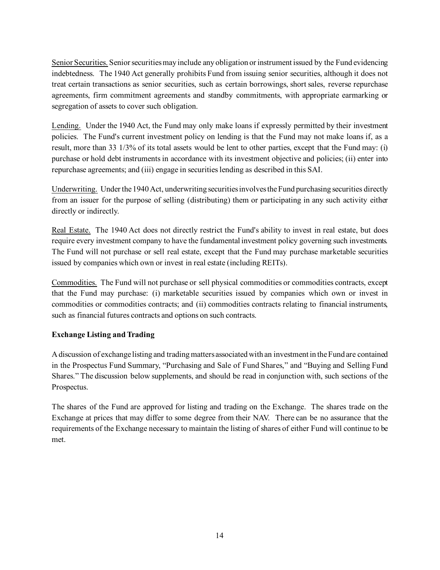Senior Securities. Senior securities may include any obligation or instrument issued by the Fund evidencing indebtedness. The 1940 Act generally prohibits Fund from issuing senior securities, although it does not treat certain transactions as senior securities, such as certain borrowings, short sales, reverse repurchase agreements, firm commitment agreements and standby commitments, with appropriate earmarking or segregation of assets to cover such obligation.

Lending. Under the 1940 Act, the Fund may only make loans if expressly permitted by their investment policies. The Fund's current investment policy on lending is that the Fund may not make loans if, as a result, more than 33 1/3% of its total assets would be lent to other parties, except that the Fund may: (i) purchase or hold debt instruments in accordance with its investment objective and policies; (ii) enter into repurchase agreements; and (iii) engage in securities lending as described in this SAI.

Underwriting. Under the 1940 Act, underwriting securities involves the Fund purchasing securities directly from an issuer for the purpose of selling (distributing) them or participating in any such activity either directly or indirectly.

Real Estate. The 1940 Act does not directly restrict the Fund's ability to invest in real estate, but does require every investment company to have the fundamental investment policy governing such investments. The Fund will not purchase or sell real estate, except that the Fund may purchase marketable securities issued by companies which own or invest in real estate (including REITs).

Commodities. The Fund will not purchase or sell physical commodities or commodities contracts, except that the Fund may purchase: (i) marketable securities issued by companies which own or invest in commodities or commodities contracts; and (ii) commodities contracts relating to financial instruments, such as financial futures contracts and options on such contracts.

#### **Exchange Listing and Trading**

A discussion of exchange listing and trading matters associated with an investment in the Fund are contained in the Prospectus Fund Summary, "Purchasing and Sale of Fund Shares," and "Buying and Selling Fund Shares." The discussion below supplements, and should be read in conjunction with, such sections of the Prospectus.

The shares of the Fund are approved for listing and trading on the Exchange. The shares trade on the Exchange at prices that may differ to some degree from their NAV. There can be no assurance that the requirements of the Exchange necessary to maintain the listing of shares of either Fund will continue to be met.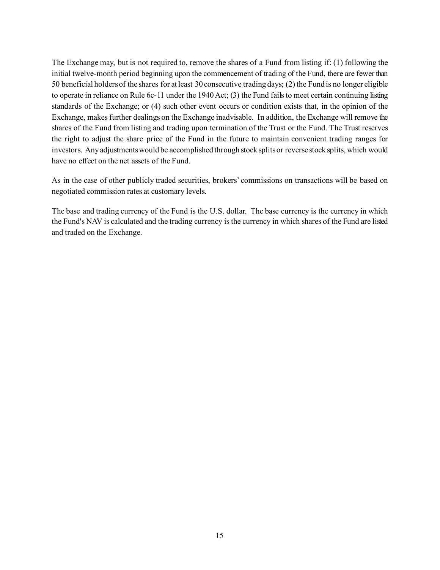The Exchange may, but is not required to, remove the shares of a Fund from listing if: (1) following the initial twelve-month period beginning upon the commencement of trading of the Fund, there are fewer than 50 beneficial holders of the shares for at least 30 consecutive trading days; (2) the Fund is no longer eligible to operate in reliance on Rule 6c-11 under the 1940 Act; (3) the Fund fails to meet certain continuing listing standards of the Exchange; or (4) such other event occurs or condition exists that, in the opinion of the Exchange, makes further dealings on the Exchange inadvisable. In addition, the Exchange will remove the shares of the Fund from listing and trading upon termination of the Trust or the Fund. The Trust reserves the right to adjust the share price of the Fund in the future to maintain convenient trading ranges for investors. Any adjustments would be accomplished through stock splits or reverse stock splits, which would have no effect on the net assets of the Fund.

As in the case of other publicly traded securities, brokers' commissions on transactions will be based on negotiated commission rates at customary levels.

The base and trading currency of the Fund is the U.S. dollar. The base currency is the currency in which the Fund's NAV is calculated and the trading currency is the currency in which shares of the Fund are listed and traded on the Exchange.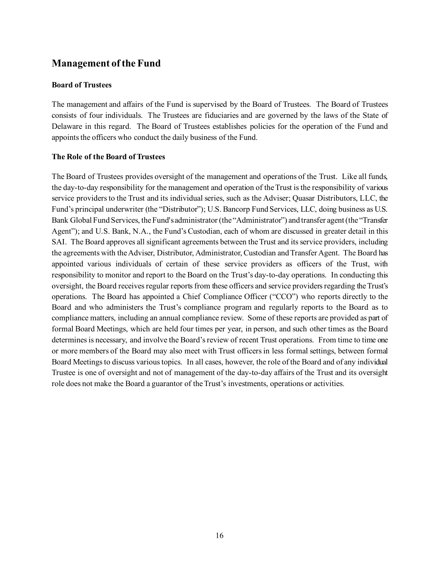## <span id="page-17-0"></span>**Management of the Fund**

#### <span id="page-17-1"></span>**Board of Trustees**

The management and affairs of the Fund is supervised by the Board of Trustees. The Board of Trustees consists of four individuals. The Trustees are fiduciaries and are governed by the laws of the State of Delaware in this regard. The Board of Trustees establishes policies for the operation of the Fund and appoints the officers who conduct the daily business of the Fund.

#### <span id="page-17-2"></span>**The Role of the Board of Trustees**

The Board of Trustees provides oversight of the management and operations of the Trust. Like all funds, the day-to-day responsibility for the management and operation of the Trust is the responsibility of various service providers to the Trust and its individual series, such as the Adviser; Quasar Distributors, LLC, the Fund's principal underwriter (the "Distributor"); U.S. Bancorp Fund Services, LLC, doing business as U.S. Bank Global Fund Services, the Fund's administrator (the "Administrator") and transfer agent (the "Transfer Agent"); and U.S. Bank, N.A., the Fund's Custodian, each of whom are discussed in greater detail in this SAI. The Board approves all significant agreements between the Trust and its service providers, including the agreements with the Adviser, Distributor, Administrator, Custodian and Transfer Agent. The Board has appointed various individuals of certain of these service providers as officers of the Trust, with responsibility to monitor and report to the Board on the Trust's day-to-day operations. In conducting this oversight, the Board receives regular reports from these officers and service providers regarding the Trust's operations. The Board has appointed a Chief Compliance Officer ("CCO") who reports directly to the Board and who administers the Trust's compliance program and regularly reports to the Board as to compliance matters, including an annual compliance review. Some of these reports are provided as part of formal Board Meetings, which are held four times per year, in person, and such other times as the Board determines is necessary, and involve the Board's review of recent Trust operations. From time to time one or more members of the Board may also meet with Trust officers in less formal settings, between formal Board Meetings to discuss various topics. In all cases, however, the role of the Board and of any individual Trustee is one of oversight and not of management of the day-to-day affairs of the Trust and its oversight role does not make the Board a guarantor of the Trust's investments, operations or activities.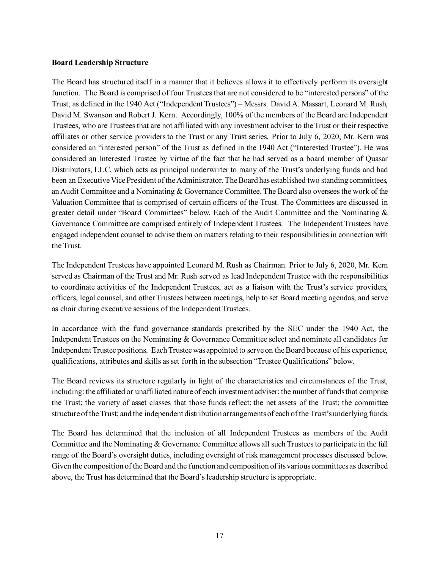#### <span id="page-18-0"></span>**Board Leadership Structure**

The Board has structured itself in a manner that it believes allows it to effectively perform its oversight function. The Board is comprised of four Trustees that are not considered to be "interested persons" of the Trust, as defined in the 1940 Act ("Independent Trustees") – Messrs. David A. Massart, Leonard M. Rush, David M. Swanson and Robert J. Kern. Accordingly, 100% of the members of the Board are Independent Trustees, who are Trustees that are not affiliated with any investment adviser to the Trust or their respective affiliates or other service providers to the Trust or any Trust series. Prior to July 6, 2020, Mr. Kern was considered an "interested person" of the Trust as defined in the 1940 Act ("Interested Trustee"). He was considered an Interested Trustee by virtue of the fact that he had served as a board member of Quasar Distributors, LLC, which acts as principal underwriter to many of the Trust's underlying funds and had been an Executive Vice President of the Administrator. The Board has established two standing committees, an Audit Committee and a Nominating & Governance Committee. The Board also oversees the work of the Valuation Committee that is comprised of certain officers of the Trust. The Committees are discussed in greater detail under "Board Committees" below. Each of the Audit Committee and the Nominating & Governance Committee are comprised entirely of Independent Trustees. The Independent Trustees have engaged independent counsel to advise them on matters relating to their responsibilities in connection with the Trust.

The Independent Trustees have appointed Leonard M. Rush as Chairman. Prior to July 6, 2020, Mr. Kern served as Chairman of the Trust and Mr. Rush served as lead Independent Trustee with the responsibilities to coordinate activities of the Independent Trustees, act as a liaison with the Trust's service providers, officers, legal counsel, and other Trustees between meetings, help to set Board meeting agendas, and serve as chair during executive sessions of the Independent Trustees.

In accordance with the fund governance standards prescribed by the SEC under the 1940 Act, the Independent Trustees on the Nominating & Governance Committee select and nominate all candidates for Independent Trustee positions. Each Trustee was appointed to serve on the Board because of his experience, qualifications, attributes and skills as set forth in the subsection "Trustee Qualifications" below.

The Board reviews its structure regularly in light of the characteristics and circumstances of the Trust, including: the affiliated or unaffiliated nature of each investment adviser; the number of funds that comprise the Trust; the variety of asset classes that those funds reflect; the net assets of the Trust; the committee structure of the Trust; and the independent distribution arrangements of each of the Trust's underlying funds.

The Board has determined that the inclusion of all Independent Trustees as members of the Audit Committee and the Nominating & Governance Committee allows all such Trustees to participate in the full range of the Board's oversight duties, including oversight of risk management processes discussed below. Given the composition of the Board and the function and composition of its various committees as described above, the Trust has determined that the Board's leadership structure is appropriate.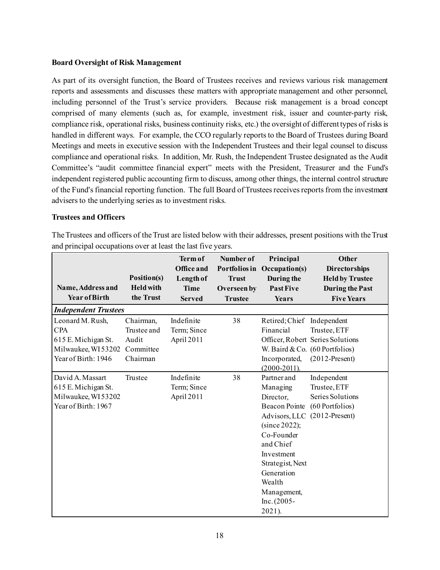#### <span id="page-19-0"></span>**Board Oversight of Risk Management**

As part of its oversight function, the Board of Trustees receives and reviews various risk management reports and assessments and discusses these matters with appropriate management and other personnel, including personnel of the Trust's service providers. Because risk management is a broad concept comprised of many elements (such as, for example, investment risk, issuer and counter-party risk, compliance risk, operational risks, business continuity risks, etc.) the oversight of different types of risks is handled in different ways. For example, the CCO regularly reports to the Board of Trustees during Board Meetings and meets in executive session with the Independent Trustees and their legal counsel to discuss compliance and operational risks. In addition, Mr. Rush, the Independent Trustee designated as the Audit Committee's "audit committee financial expert" meets with the President, Treasurer and the Fund's independent registered public accounting firm to discuss, among other things, the internal control structure of the Fund's financial reporting function. The full Board of Trustees receives reports from the investment advisers to the underlying series as to investment risks.

#### <span id="page-19-1"></span>**Trustees and Officers**

The Trustees and officers of the Trust are listed below with their addresses, present positions with the Trust and principal occupations over at least the last five years.

| Name, Address and<br><b>Year of Birth</b>                                                          | Position(s)<br><b>Held with</b><br>the Trust               | <b>Term of</b><br><b>Office and</b><br>Length of<br><b>Time</b><br><b>Served</b> | Number of<br><b>Trust</b><br>Overseen by<br><b>Trustee</b> | Principal<br>Portfolios in Occupation(s)<br>During the<br><b>Past Five</b><br>Years                                                                                                                                               | <b>Other</b><br><b>Directorships</b><br><b>Held by Trustee</b><br><b>During the Past</b><br><b>Five Years</b> |
|----------------------------------------------------------------------------------------------------|------------------------------------------------------------|----------------------------------------------------------------------------------|------------------------------------------------------------|-----------------------------------------------------------------------------------------------------------------------------------------------------------------------------------------------------------------------------------|---------------------------------------------------------------------------------------------------------------|
| <b>Independent Trustees</b>                                                                        |                                                            |                                                                                  |                                                            |                                                                                                                                                                                                                                   |                                                                                                               |
| Leonard M. Rush,<br><b>CPA</b><br>615 E. Michigan St.<br>Milwaukee, WI53202<br>Year of Birth: 1946 | Chairman,<br>Trustee and<br>Audit<br>Committee<br>Chairman | Indefinite<br>Term; Since<br>April 2011                                          | 38                                                         | Retired; Chief Independent<br>Financial<br>Incorporated,<br>$(2000 - 2011)$ .                                                                                                                                                     | Trustee, ETF<br>Officer, Robert Series Solutions<br>W. Baird & Co. $(60$ Portfolios)<br>$(2012-Present)$      |
| David A. Massart<br>615 E. Michigan St.<br>Milwaukee, WI53202<br>Year of Birth: 1967               | Trustee                                                    | Indefinite<br>Term; Since<br>April 2011                                          | 38                                                         | Partner and<br>Managing<br>Director,<br><b>Beacon Pointe</b><br>Advisors, LLC<br>(since 2022);<br>Co-Founder<br>and Chief<br>Investment<br>Strategist, Next<br>Generation<br>Wealth<br>Management,<br>$Inc. (2005 -$<br>$2021$ ). | Independent<br>Trustee, ETF<br>Series Solutions<br>(60 Portfolios)<br>$(2012-Present)$                        |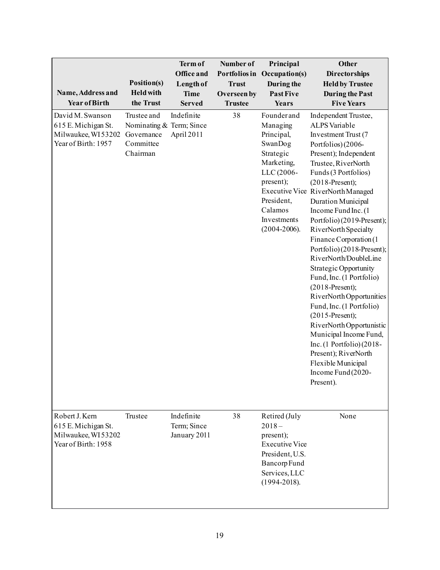| Name, Address and<br><b>Year of Birth</b>                                            | Position(s)<br><b>Held with</b><br>the Trust                                   | Term of<br>Office and<br>Length of<br><b>Time</b><br><b>Served</b> | Number of<br>Portfolios in<br><b>Trust</b><br>Overseen by<br><b>Trustee</b> | Principal<br>Occupation(s)<br>During the<br><b>Past Five</b><br>Years                                                                                             | Other<br><b>Directorships</b><br><b>Held by Trustee</b><br><b>During the Past</b><br><b>Five Years</b>                                                                                                                                                                                                                                                                                                                                                                                                                                                                                                                                                                                                                                                 |
|--------------------------------------------------------------------------------------|--------------------------------------------------------------------------------|--------------------------------------------------------------------|-----------------------------------------------------------------------------|-------------------------------------------------------------------------------------------------------------------------------------------------------------------|--------------------------------------------------------------------------------------------------------------------------------------------------------------------------------------------------------------------------------------------------------------------------------------------------------------------------------------------------------------------------------------------------------------------------------------------------------------------------------------------------------------------------------------------------------------------------------------------------------------------------------------------------------------------------------------------------------------------------------------------------------|
| David M. Swanson<br>615 E. Michigan St.<br>Milwaukee, WI53202<br>Year of Birth: 1957 | Trustee and<br>Nominating & Term; Since<br>Governance<br>Committee<br>Chairman | Indefinite<br>April 2011                                           | 38                                                                          | Founderand<br>Managing<br>Principal,<br>SwanDog<br>Strategic<br>Marketing,<br>LLC (2006-<br>present);<br>President,<br>Calamos<br>Investments<br>$(2004 - 2006).$ | Independent Trustee,<br><b>ALPS</b> Variable<br>Investment Trust (7<br>Portfolios) (2006-<br>Present); Independent<br>Trustee, RiverNorth<br>Funds (3 Portfolios)<br>$(2018-Present);$<br>Executive Vice RiverNorth Managed<br>Duration Municipal<br>Income Fund Inc. (1<br>Portfolio) (2019-Present);<br>RiverNorth Specialty<br>Finance Corporation (1<br>Portfolio) (2018-Present);<br>RiverNorth/DoubleLine<br><b>Strategic Opportunity</b><br>Fund, Inc. (1 Portfolio)<br>$(2018-Present);$<br>RiverNorth Opportunities<br>Fund, Inc. (1 Portfolio)<br>$(2015-Present);$<br>RiverNorth Opportunistic<br>Municipal Income Fund,<br>Inc. $(1$ Portfolio $)(2018 -$<br>Present); RiverNorth<br>Flexible Municipal<br>Income Fund (2020-<br>Present). |
| Robert J. Kern<br>615 E. Michigan St.<br>Milwaukee, WI53202<br>Year of Birth: 1958   | Trustee                                                                        | Indefinite<br>Term; Since<br>January 2011                          | 38                                                                          | Retired (July<br>$2018 -$<br>present);<br><b>Executive Vice</b><br>President, U.S.<br>Bancorp Fund<br>Services, LLC<br>$(1994 - 2018).$                           | None                                                                                                                                                                                                                                                                                                                                                                                                                                                                                                                                                                                                                                                                                                                                                   |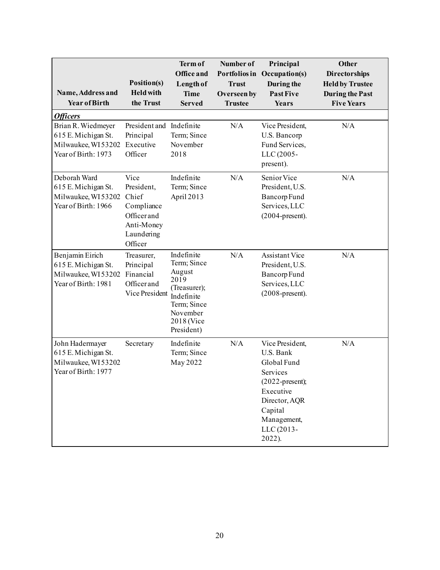| Name, Address and<br><b>Year of Birth</b>                                                                            | Position(s)<br><b>Held with</b><br>the Trust                                                   | Term of<br><b>Office and</b><br>Length of<br><b>Time</b><br><b>Served</b>                                                        | Number of<br>Portfolios in<br><b>Trust</b><br>Overseen by<br><b>Trustee</b> | Principal<br>Occupation(s)<br>During the<br><b>Past Five</b><br>Years                                                                                         | <b>Other</b><br><b>Directorships</b><br><b>Held by Trustee</b><br><b>During the Past</b><br><b>Five Years</b> |
|----------------------------------------------------------------------------------------------------------------------|------------------------------------------------------------------------------------------------|----------------------------------------------------------------------------------------------------------------------------------|-----------------------------------------------------------------------------|---------------------------------------------------------------------------------------------------------------------------------------------------------------|---------------------------------------------------------------------------------------------------------------|
| <b>Officers</b><br>Brian R. Wiedmeyer<br>615 E. Michigan St.<br>Milwaukee, WI 53202 Executive<br>Year of Birth: 1973 | President and Indefinite<br>Principal<br>Officer                                               | Term; Since<br>November<br>2018                                                                                                  | N/A                                                                         | Vice President,<br>U.S. Bancorp<br>Fund Services,<br>LLC (2005-<br>present).                                                                                  | N/A                                                                                                           |
| Deborah Ward<br>615 E. Michigan St.<br>Milwaukee, WI53202<br>Year of Birth: 1966                                     | Vice<br>President,<br>Chief<br>Compliance<br>Officerand<br>Anti-Money<br>Laundering<br>Officer | Indefinite<br>Term; Since<br>April 2013                                                                                          | N/A                                                                         | Senior Vice<br>President, U.S.<br>Bancorp Fund<br>Services, LLC<br>$(2004$ -present).                                                                         | N/A                                                                                                           |
| Benjamin Eirich<br>615 E. Michigan St.<br>Milwaukee, WI53202<br>Year of Birth: 1981                                  | Treasurer,<br>Principal<br>Financial<br>Officerand<br>Vice President                           | Indefinite<br>Term; Since<br>August<br>2019<br>(Treasurer);<br>Indefinite<br>Term; Since<br>November<br>2018 (Vice<br>President) | N/A                                                                         | <b>Assistant Vice</b><br>President, U.S.<br>Bancorp Fund<br>Services, LLC<br>$(2008-present).$                                                                | N/A                                                                                                           |
| John Hadermayer<br>615 E. Michigan St.<br>Milwaukee, WI53202<br>Year of Birth: 1977                                  | Secretary                                                                                      | Indefinite<br>Term; Since<br>May 2022                                                                                            | N/A                                                                         | Vice President,<br>U.S. Bank<br>Global Fund<br>Services<br>$(2022$ -present);<br>Executive<br>Director, AQR<br>Capital<br>Management,<br>LLC (2013-<br>2022). | N/A                                                                                                           |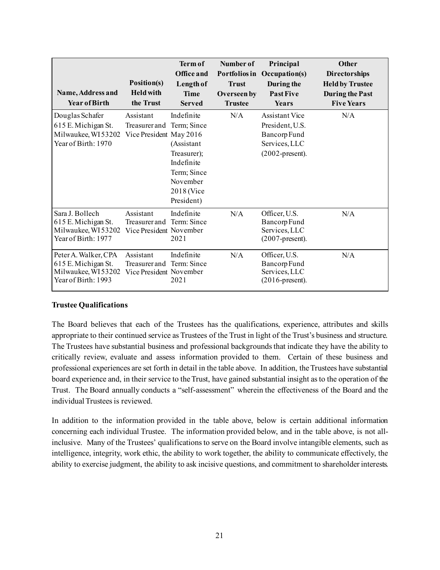| Name, Address and<br><b>Year of Birth</b>                                                 | Position(s)<br><b>Held with</b><br>the Trust          | <b>Term of</b><br>Office and<br>Length of<br><b>Time</b><br><b>Served</b>                                                   | Number of<br>Portfolios in<br><b>Trust</b><br>Overseen by<br><b>Trustee</b> | Principal<br>Occupation(s)<br>During the<br><b>Past Five</b><br>Years                    | <b>Other</b><br><b>Directorships</b><br><b>Held by Trustee</b><br><b>During the Past</b><br><b>Five Years</b> |
|-------------------------------------------------------------------------------------------|-------------------------------------------------------|-----------------------------------------------------------------------------------------------------------------------------|-----------------------------------------------------------------------------|------------------------------------------------------------------------------------------|---------------------------------------------------------------------------------------------------------------|
| Douglas Schafer<br>615 E. Michigan St.<br>Milwaukee, WI53202<br>Year of Birth: 1970       | Assistant<br>Treasurer and<br>Vice President May 2016 | Indefinite<br>Term; Since<br>(Assistant<br>Treasurer);<br>Indefinite<br>Term; Since<br>November<br>2018 (Vice<br>President) | N/A                                                                         | Assistant Vice<br>President, U.S.<br>Bancorp Fund<br>Services, LLC<br>$(2002$ -present). | N/A                                                                                                           |
| Sara J. Bollech<br>615 E. Michigan St.<br>Milwaukee, WI53202<br>Year of Birth: 1977       | Assistant<br>Treasurer and<br>Vice President November | Indefinite<br>Term: Since<br>2021                                                                                           | N/A                                                                         | Officer, U.S.<br>Bancorp Fund<br>Services, LLC<br>$(2007$ -present).                     | N/A                                                                                                           |
| Peter A. Walker, CPA<br>615 E. Michigan St.<br>Milwaukee, WI 53202<br>Year of Birth: 1993 | Assistant<br>Treasurer and<br>Vice President November | Indefinite<br>Term: Since<br>2021                                                                                           | N/A                                                                         | Officer, U.S.<br>Bancorp Fund<br>Services, LLC<br>$(2016$ -present).                     | N/A                                                                                                           |

#### <span id="page-22-0"></span>**Trustee Qualifications**

The Board believes that each of the Trustees has the qualifications, experience, attributes and skills appropriate to their continued service as Trustees of the Trust in light of the Trust's business and structure. The Trustees have substantial business and professional backgrounds that indicate they have the ability to critically review, evaluate and assess information provided to them. Certain of these business and professional experiences are set forth in detail in the table above. In addition, the Trustees have substantial board experience and, in their service to the Trust, have gained substantial insight as to the operation of the Trust. The Board annually conducts a "self-assessment" wherein the effectiveness of the Board and the individual Trustees is reviewed.

In addition to the information provided in the table above, below is certain additional information concerning each individual Trustee. The information provided below, and in the table above, is not allinclusive. Many of the Trustees' qualifications to serve on the Board involve intangible elements, such as intelligence, integrity, work ethic, the ability to work together, the ability to communicate effectively, the ability to exercise judgment, the ability to ask incisive questions, and commitment to shareholder interests.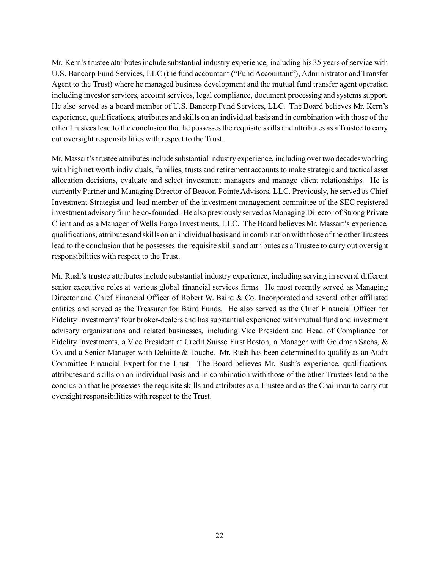Mr. Kern's trustee attributes include substantial industry experience, including his 35 years of service with U.S. Bancorp Fund Services, LLC (the fund accountant ("Fund Accountant"), Administrator and Transfer Agent to the Trust) where he managed business development and the mutual fund transfer agent operation including investor services, account services, legal compliance, document processing and systems support. He also served as a board member of U.S. Bancorp Fund Services, LLC. The Board believes Mr. Kern's experience, qualifications, attributes and skills on an individual basis and in combination with those of the other Trustees lead to the conclusion that he possesses the requisite skills and attributes as a Trustee to carry out oversight responsibilities with respect to the Trust.

Mr. Massart's trustee attributes include substantial industry experience, including over two decades working with high net worth individuals, families, trusts and retirement accounts to make strategic and tactical asset allocation decisions, evaluate and select investment managers and manage client relationships. He is currently Partner and Managing Director of Beacon Pointe Advisors, LLC. Previously, he served as Chief Investment Strategist and lead member of the investment management committee of the SEC registered investment advisory firm he co-founded. He also previously served as Managing Director of Strong Private Client and as a Manager of Wells Fargo Investments, LLC. The Board believes Mr. Massart's experience, qualifications, attributes and skills on an individual basis and in combination with those of the other Trustees lead to the conclusion that he possesses the requisite skills and attributes as a Trustee to carry out oversight responsibilities with respect to the Trust.

Mr. Rush's trustee attributes include substantial industry experience, including serving in several different senior executive roles at various global financial services firms. He most recently served as Managing Director and Chief Financial Officer of Robert W. Baird & Co. Incorporated and several other affiliated entities and served as the Treasurer for Baird Funds. He also served as the Chief Financial Officer for Fidelity Investments' four broker-dealers and has substantial experience with mutual fund and investment advisory organizations and related businesses, including Vice President and Head of Compliance for Fidelity Investments, a Vice President at Credit Suisse First Boston, a Manager with Goldman Sachs, & Co. and a Senior Manager with Deloitte & Touche. Mr. Rush has been determined to qualify as an Audit Committee Financial Expert for the Trust. The Board believes Mr. Rush's experience, qualifications, attributes and skills on an individual basis and in combination with those of the other Trustees lead to the conclusion that he possesses the requisite skills and attributes as a Trustee and as the Chairman to carry out oversight responsibilities with respect to the Trust.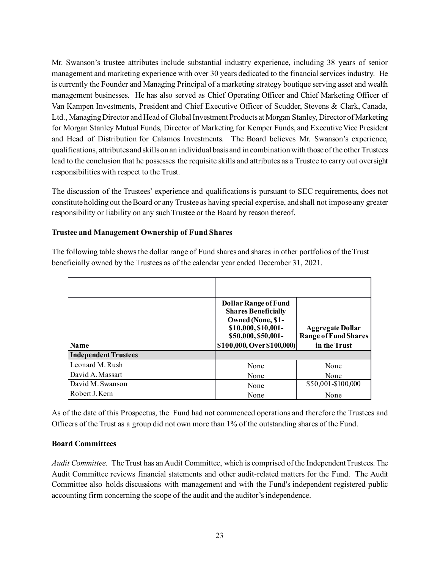Mr. Swanson's trustee attributes include substantial industry experience, including 38 years of senior management and marketing experience with over 30 years dedicated to the financial services industry. He is currently the Founder and Managing Principal of a marketing strategy boutique serving asset and wealth management businesses. He has also served as Chief Operating Officer and Chief Marketing Officer of Van Kampen Investments, President and Chief Executive Officer of Scudder, Stevens & Clark, Canada, Ltd., Managing Director and Head of Global Investment Products at Morgan Stanley, Director of Marketing for Morgan Stanley Mutual Funds, Director of Marketing for Kemper Funds, and Executive Vice President and Head of Distribution for Calamos Investments. The Board believes Mr. Swanson's experience, qualifications, attributes and skills on an individual basis and in combination with those of the other Trustees lead to the conclusion that he possesses the requisite skills and attributes as a Trustee to carry out oversight responsibilities with respect to the Trust.

The discussion of the Trustees' experience and qualifications is pursuant to SEC requirements, does not constitute holding out the Board or any Trustee as having special expertise, and shall not impose any greater responsibility or liability on any such Trustee or the Board by reason thereof.

#### <span id="page-24-0"></span>**Trustee and Management Ownership of Fund Shares**

| <b>Name</b>                 | <b>Dollar Range of Fund</b><br><b>Shares Beneficially</b><br>Owned (None, \$1-<br>\$10,000, \$10,001-<br>\$50,000, \$50,001-<br>\$100,000, Over \$100,000) | <b>Aggregate Dollar</b><br><b>Range of Fund Shares</b><br>in the Trust |
|-----------------------------|------------------------------------------------------------------------------------------------------------------------------------------------------------|------------------------------------------------------------------------|
| <b>Independent Trustees</b> |                                                                                                                                                            |                                                                        |
| Leonard M. Rush             | None                                                                                                                                                       | None                                                                   |
| David A. Massart            | None                                                                                                                                                       | None                                                                   |
| David M. Swanson            | None                                                                                                                                                       | \$50,001-\$100,000                                                     |
| Robert J. Kern              | None                                                                                                                                                       | None                                                                   |

The following table shows the dollar range of Fund shares and shares in other portfolios of the Trust beneficially owned by the Trustees as of the calendar year ended December 31, 2021.

As of the date of this Prospectus, the Fund had not commenced operations and therefore the Trustees and Officers of the Trust as a group did not own more than 1% of the outstanding shares of the Fund.

#### <span id="page-24-1"></span>**Board Committees**

*Audit Committee.* The Trust has an Audit Committee, which is comprised of the Independent Trustees. The Audit Committee reviews financial statements and other audit-related matters for the Fund. The Audit Committee also holds discussions with management and with the Fund's independent registered public accounting firm concerning the scope of the audit and the auditor's independence.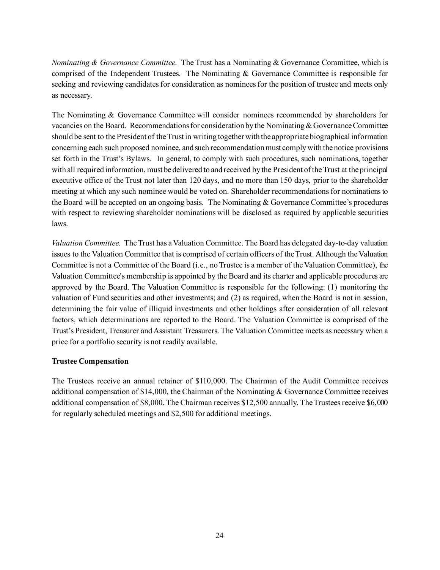*Nominating & Governance Committee.* The Trust has a Nominating & Governance Committee, which is comprised of the Independent Trustees. The Nominating & Governance Committee is responsible for seeking and reviewing candidates for consideration as nominees for the position of trustee and meets only as necessary.

The Nominating & Governance Committee will consider nominees recommended by shareholders for vacancies on the Board. Recommendations for consideration by the Nominating & Governance Committee should be sent to the President of the Trust in writing together with the appropriate biographical information concerning each such proposed nominee, and such recommendation must comply with the notice provisions set forth in the Trust's Bylaws. In general, to comply with such procedures, such nominations, together with all required information, must be delivered to and received by the President of the Trust at the principal executive office of the Trust not later than 120 days, and no more than 150 days, prior to the shareholder meeting at which any such nominee would be voted on. Shareholder recommendations for nominations to the Board will be accepted on an ongoing basis. The Nominating & Governance Committee's procedures with respect to reviewing shareholder nominations will be disclosed as required by applicable securities laws.

*Valuation Committee.* The Trust has a Valuation Committee. The Board has delegated day-to-day valuation issues to the Valuation Committee that is comprised of certain officers of the Trust. Although the Valuation Committee is not a Committee of the Board (i.e., no Trustee is a member of the Valuation Committee), the Valuation Committee's membership is appointed by the Board and its charter and applicable procedures are approved by the Board. The Valuation Committee is responsible for the following: (1) monitoring the valuation of Fund securities and other investments; and (2) as required, when the Board is not in session, determining the fair value of illiquid investments and other holdings after consideration of all relevant factors, which determinations are reported to the Board. The Valuation Committee is comprised of the Trust's President, Treasurer and Assistant Treasurers. The Valuation Committee meets as necessary when a price for a portfolio security is not readily available.

#### <span id="page-25-0"></span>**Trustee Compensation**

The Trustees receive an annual retainer of \$110,000. The Chairman of the Audit Committee receives additional compensation of \$14,000, the Chairman of the Nominating & Governance Committee receives additional compensation of \$8,000. The Chairman receives \$12,500 annually. The Trustees receive \$6,000 for regularly scheduled meetings and \$2,500 for additional meetings.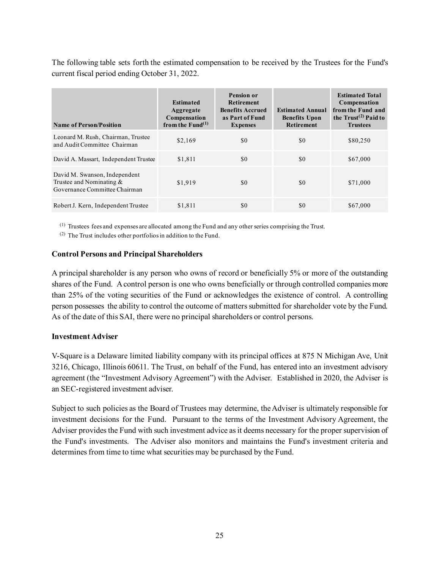The following table sets forth the estimated compensation to be received by the Trustees for the Fund's current fiscal period ending October 31, 2022.

| <b>Name of Person/Position</b>                                                                | <b>Estimated</b><br>Aggregate<br>Compensation<br>from the $Fund(1)$ | <b>Pension or</b><br><b>Retirement</b><br><b>Benefits Accrued</b><br>as Part of Fund<br><b>Expenses</b> | <b>Estimated Annual</b><br><b>Benefits Upon</b><br><b>Retirement</b> | <b>Estimated Total</b><br>Compensation<br>from the Fund and<br>the $Trust^{(2)}$ Paid to<br><b>Trustees</b> |
|-----------------------------------------------------------------------------------------------|---------------------------------------------------------------------|---------------------------------------------------------------------------------------------------------|----------------------------------------------------------------------|-------------------------------------------------------------------------------------------------------------|
| Leonard M. Rush, Chairman, Trustee<br>and Audit Committee Chairman                            | \$2,169                                                             | \$0                                                                                                     | \$0                                                                  | \$80,250                                                                                                    |
| David A. Massart, Independent Trustee                                                         | \$1,811                                                             | \$0                                                                                                     | \$0                                                                  | \$67,000                                                                                                    |
| David M. Swanson, Independent<br>Trustee and Nominating $\&$<br>Governance Committee Chairman | \$1,919                                                             | \$0                                                                                                     | \$0                                                                  | \$71,000                                                                                                    |
| Robert J. Kern, Independent Trustee                                                           | \$1,811                                                             | \$0                                                                                                     | \$0                                                                  | \$67,000                                                                                                    |

(1) Trustees fees and expenses are allocated among the Fund and any other series comprising the Trust.

(2) The Trust includes other portfolios in addition to the Fund.

#### <span id="page-26-0"></span>**Control Persons and Principal Shareholders**

A principal shareholder is any person who owns of record or beneficially 5% or more of the outstanding shares of the Fund. A control person is one who owns beneficially or through controlled companies more than 25% of the voting securities of the Fund or acknowledges the existence of control. A controlling person possesses the ability to control the outcome of matters submitted for shareholder vote by the Fund. As of the date of this SAI, there were no principal shareholders or control persons.

#### <span id="page-26-1"></span>**Investment Adviser**

V-Square is a Delaware limited liability company with its principal offices at 875 N Michigan Ave, Unit 3216, Chicago, Illinois 60611. The Trust, on behalf of the Fund, has entered into an investment advisory agreement (the "Investment Advisory Agreement") with the Adviser. Established in 2020, the Adviser is an SEC-registered investment adviser.

Subject to such policies as the Board of Trustees may determine, the Adviser is ultimately responsible for investment decisions for the Fund. Pursuant to the terms of the Investment Advisory Agreement, the Adviser provides the Fund with such investment advice as it deems necessary for the proper supervision of the Fund's investments. The Adviser also monitors and maintains the Fund's investment criteria and determines from time to time what securities may be purchased by the Fund.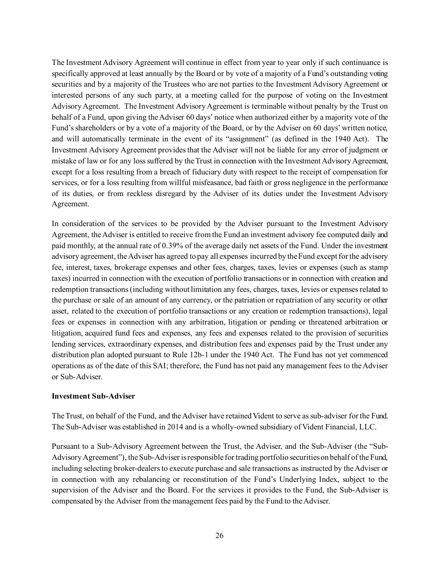The Investment Advisory Agreement will continue in effect from year to year only if such continuance is specifically approved at least annually by the Board or by vote of a majority of a Fund's outstanding voting securities and by a majority of the Trustees who are not parties to the Investment Advisory Agreement or interested persons of any such party, at a meeting called for the purpose of voting on the Investment Advisory Agreement. The Investment Advisory Agreement is terminable without penalty by the Trust on behalf of a Fund, upon giving the Adviser 60 days' notice when authorized either by a majority vote of the Fund's shareholders or by a vote of a majority of the Board, or by the Adviser on 60 days' written notice, and will automatically terminate in the event of its "assignment" (as defined in the 1940 Act). The Investment Advisory Agreement provides that the Adviser will not be liable for any error of judgment or mistake of law or for any loss suffered by the Trust in connection with the Investment Advisory Agreement, except for a loss resulting from a breach of fiduciary duty with respect to the receipt of compensation for services, or for a loss resulting from willful misfeasance, bad faith or gross negligence in the performance of its duties, or from reckless disregard by the Adviser of its duties under the Investment Advisory Agreement.

In consideration of the services to be provided by the Adviser pursuant to the Investment Advisory Agreement, the Adviser is entitled to receive from the Fund an investment advisory fee computed daily and paid monthly, at the annual rate of 0.39% of the average daily net assets of the Fund. Under the investment advisory agreement, the Adviser has agreed to pay all expenses incurred by the Fund except for the advisory fee, interest, taxes, brokerage expenses and other fees, charges, taxes, levies or expenses (such as stamp taxes) incurred in connection with the execution of portfolio transactions or in connection with creation and redemption transactions (including without limitation any fees, charges, taxes, levies or expenses related to the purchase or sale of an amount of any currency, or the patriation or repatriation of any security or other asset, related to the execution of portfolio transactions or any creation or redemption transactions), legal fees or expenses in connection with any arbitration, litigation or pending or threatened arbitration or litigation, acquired fund fees and expenses, any fees and expenses related to the provision of securities lending services, extraordinary expenses, and distribution fees and expenses paid by the Trust under any distribution plan adopted pursuant to Rule 12b-1 under the 1940 Act. The Fund has not yet commenced operations as of the date of this SAI; therefore, the Fund has not paid any management fees to the Adviser or Sub-Adviser.

#### **Investment Sub-Adviser**

The Trust, on behalf of the Fund, and the Adviser have retained Vident to serve as sub-adviser for the Fund. The Sub-Adviser was established in 2014 and is a wholly-owned subsidiary of Vident Financial, LLC.

Pursuant to a Sub-Advisory Agreement between the Trust, the Adviser, and the Sub-Adviser (the "Sub-Advisory Agreement"), the Sub-Adviser is responsible for trading portfolio securities on behalf of the Fund, including selecting broker-dealers to execute purchase and sale transactions as instructed by the Adviser or in connection with any rebalancing or reconstitution of the Fund's Underlying Index, subject to the supervision of the Adviser and the Board. For the services it provides to the Fund, the Sub-Adviser is compensated by the Adviser from the management fees paid by the Fund to the Adviser.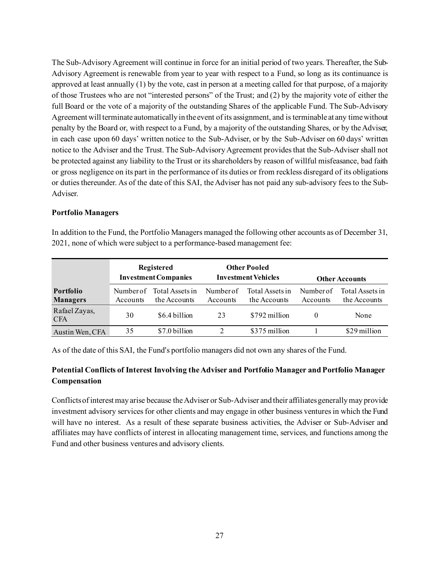The Sub-Advisory Agreement will continue in force for an initial period of two years. Thereafter, the Sub-Advisory Agreement is renewable from year to year with respect to a Fund, so long as its continuance is approved at least annually (1) by the vote, cast in person at a meeting called for that purpose, of a majority of those Trustees who are not "interested persons" of the Trust; and (2) by the majority vote of either the full Board or the vote of a majority of the outstanding Shares of the applicable Fund. The Sub-Advisory Agreement will terminate automatically in the event of its assignment, and is terminable at any time without penalty by the Board or, with respect to a Fund, by a majority of the outstanding Shares, or by the Adviser, in each case upon 60 days' written notice to the Sub-Adviser, or by the Sub-Adviser on 60 days' written notice to the Adviser and the Trust. The Sub-Advisory Agreement provides that the Sub-Adviser shall not be protected against any liability to the Trust or its shareholders by reason of willful misfeasance, bad faith or gross negligence on its part in the performance of its duties or from reckless disregard of its obligations or duties thereunder. As of the date of this SAI, the Adviser has not paid any sub-advisory fees to the Sub-Adviser.

#### <span id="page-28-0"></span>**Portfolio Managers**

|                                     | Registered<br><b>Investment Companies</b> |                                 |                       | <b>Other Pooled</b><br><b>Investment Vehicles</b> | <b>Other Accounts</b> |                                 |  |
|-------------------------------------|-------------------------------------------|---------------------------------|-----------------------|---------------------------------------------------|-----------------------|---------------------------------|--|
| <b>Portfolio</b><br><b>Managers</b> | Number of<br>Accounts                     | Total Assets in<br>the Accounts | Number of<br>Accounts | Total Assets in<br>the Accounts                   | Number of<br>Accounts | Total Assets in<br>the Accounts |  |
| Rafael Zayas,<br><b>CFA</b>         | 30                                        | \$6.4 billion                   | 23                    | \$792 million                                     | O                     | None                            |  |
| Austin Wen, CFA                     | 35                                        | \$7.0 billion                   |                       | \$375 million                                     |                       | \$29 million                    |  |

In addition to the Fund, the Portfolio Managers managed the following other accounts as of December 31, 2021, none of which were subject to a performance-based management fee:

As of the date of this SAI, the Fund's portfolio managers did not own any shares of the Fund.

#### **Potential Conflicts of Interest Involving the Adviser and Portfolio Manager and Portfolio Manager Compensation**

Conflicts of interest may arise because the Adviser or Sub-Adviser and their affiliates generally may provide investment advisory services for other clients and may engage in other business ventures in which the Fund will have no interest. As a result of these separate business activities, the Adviser or Sub-Adviser and affiliates may have conflicts of interest in allocating management time, services, and functions among the Fund and other business ventures and advisory clients.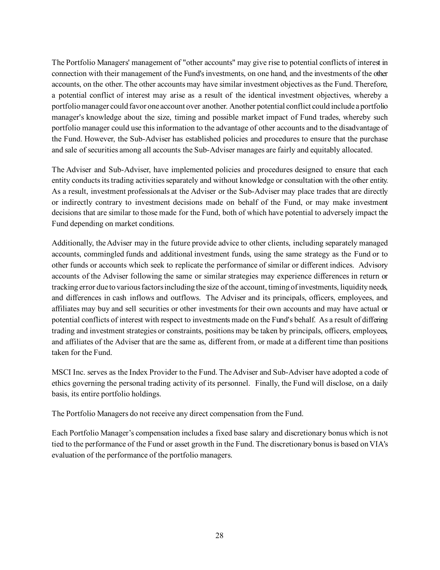The Portfolio Managers' management of "other accounts" may give rise to potential conflicts of interest in connection with their management of the Fund's investments, on one hand, and the investments of the other accounts, on the other. The other accounts may have similar investment objectives as the Fund. Therefore, a potential conflict of interest may arise as a result of the identical investment objectives, whereby a portfolio manager could favor one account over another. Another potential conflict could include a portfolio manager's knowledge about the size, timing and possible market impact of Fund trades, whereby such portfolio manager could use this information to the advantage of other accounts and to the disadvantage of the Fund. However, the Sub-Adviser has established policies and procedures to ensure that the purchase and sale of securities among all accounts the Sub-Adviser manages are fairly and equitably allocated.

The Adviser and Sub-Adviser, have implemented policies and procedures designed to ensure that each entity conducts its trading activities separately and without knowledge or consultation with the other entity. As a result, investment professionals at the Adviser or the Sub-Adviser may place trades that are directly or indirectly contrary to investment decisions made on behalf of the Fund, or may make investment decisions that are similar to those made for the Fund, both of which have potential to adversely impact the Fund depending on market conditions.

Additionally, the Adviser may in the future provide advice to other clients, including separately managed accounts, commingled funds and additional investment funds, using the same strategy as the Fund or to other funds or accounts which seek to replicate the performance of similar or different indices. Advisory accounts of the Adviser following the same or similar strategies may experience differences in return or tracking error due to various factors including the size of the account, timing of investments, liquidity needs, and differences in cash inflows and outflows. The Adviser and its principals, officers, employees, and affiliates may buy and sell securities or other investments for their own accounts and may have actual or potential conflicts of interest with respect to investments made on the Fund's behalf. As a result of differing trading and investment strategies or constraints, positions may be taken by principals, officers, employees, and affiliates of the Adviser that are the same as, different from, or made at a different time than positions taken for the Fund.

MSCI Inc. serves as the Index Provider to the Fund. The Adviser and Sub-Adviser have adopted a code of ethics governing the personal trading activity of its personnel. Finally, the Fund will disclose, on a daily basis, its entire portfolio holdings.

The Portfolio Managers do not receive any direct compensation from the Fund.

Each Portfolio Manager's compensation includes a fixed base salary and discretionary bonus which is not tied to the performance of the Fund or asset growth in the Fund. The discretionary bonus is based on VIA's evaluation of the performance of the portfolio managers.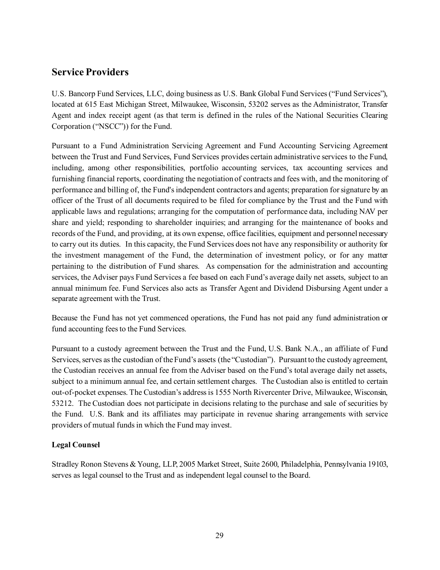## <span id="page-30-0"></span>**Service Providers**

U.S. Bancorp Fund Services, LLC, doing business as U.S. Bank Global Fund Services ("Fund Services"), located at 615 East Michigan Street, Milwaukee, Wisconsin, 53202 serves as the Administrator, Transfer Agent and index receipt agent (as that term is defined in the rules of the National Securities Clearing Corporation ("NSCC")) for the Fund.

Pursuant to a Fund Administration Servicing Agreement and Fund Accounting Servicing Agreement between the Trust and Fund Services, Fund Services provides certain administrative services to the Fund, including, among other responsibilities, portfolio accounting services, tax accounting services and furnishing financial reports, coordinating the negotiation of contracts and fees with, and the monitoring of performance and billing of, the Fund's independent contractors and agents; preparation for signature by an officer of the Trust of all documents required to be filed for compliance by the Trust and the Fund with applicable laws and regulations; arranging for the computation of performance data, including NAV per share and yield; responding to shareholder inquiries; and arranging for the maintenance of books and records of the Fund, and providing, at its own expense, office facilities, equipment and personnel necessary to carry out its duties. In this capacity, the Fund Services does not have any responsibility or authority for the investment management of the Fund, the determination of investment policy, or for any matter pertaining to the distribution of Fund shares. As compensation for the administration and accounting services, the Adviser pays Fund Services a fee based on each Fund's average daily net assets, subject to an annual minimum fee. Fund Services also acts as Transfer Agent and Dividend Disbursing Agent under a separate agreement with the Trust.

Because the Fund has not yet commenced operations, the Fund has not paid any fund administration or fund accounting fees to the Fund Services.

Pursuant to a custody agreement between the Trust and the Fund, U.S. Bank N.A., an affiliate of Fund Services, serves as the custodian of the Fund's assets (the "Custodian"). Pursuant to the custody agreement, the Custodian receives an annual fee from the Adviser based on the Fund's total average daily net assets, subject to a minimum annual fee, and certain settlement charges. The Custodian also is entitled to certain out-of-pocket expenses. The Custodian's address is 1555 North Rivercenter Drive, Milwaukee, Wisconsin, 53212. The Custodian does not participate in decisions relating to the purchase and sale of securities by the Fund. U.S. Bank and its affiliates may participate in revenue sharing arrangements with service providers of mutual funds in which the Fund may invest.

#### <span id="page-30-1"></span>**Legal Counsel**

Stradley Ronon Stevens & Young, LLP, 2005 Market Street, Suite 2600, Philadelphia, Pennsylvania 19103, serves as legal counsel to the Trust and as independent legal counsel to the Board.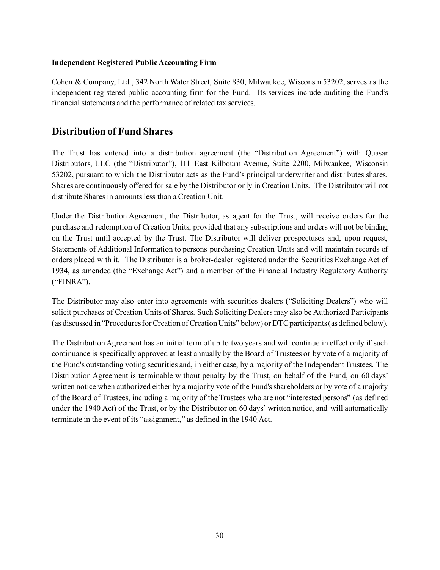#### <span id="page-31-0"></span>**Independent Registered Public Accounting Firm**

Cohen & Company, Ltd., 342 North Water Street, Suite 830, Milwaukee, Wisconsin 53202, serves as the independent registered public accounting firm for the Fund. Its services include auditing the Fund's financial statements and the performance of related tax services.

## <span id="page-31-1"></span>**Distribution of Fund Shares**

The Trust has entered into a distribution agreement (the "Distribution Agreement") with Quasar Distributors, LLC (the "Distributor"), 111 East Kilbourn Avenue, Suite 2200, Milwaukee, Wisconsin 53202, pursuant to which the Distributor acts as the Fund's principal underwriter and distributes shares. Shares are continuously offered for sale by the Distributor only in Creation Units. The Distributor will not distribute Shares in amounts less than a Creation Unit.

Under the Distribution Agreement, the Distributor, as agent for the Trust, will receive orders for the purchase and redemption of Creation Units, provided that any subscriptions and orders will not be binding on the Trust until accepted by the Trust. The Distributor will deliver prospectuses and, upon request, Statements of Additional Information to persons purchasing Creation Units and will maintain records of orders placed with it. The Distributor is a broker-dealer registered under the Securities Exchange Act of 1934, as amended (the "Exchange Act") and a member of the Financial Industry Regulatory Authority ("FINRA").

The Distributor may also enter into agreements with securities dealers ("Soliciting Dealers") who will solicit purchases of Creation Units of Shares. Such Soliciting Dealers may also be Authorized Participants (as discussed in "Procedures for Creation of Creation Units" below) or DTC participants (as defined below).

The Distribution Agreement has an initial term of up to two years and will continue in effect only if such continuance is specifically approved at least annually by the Board of Trustees or by vote of a majority of the Fund's outstanding voting securities and, in either case, by a majority of the Independent Trustees. The Distribution Agreement is terminable without penalty by the Trust, on behalf of the Fund, on 60 days' written notice when authorized either by a majority vote of the Fund's shareholders or by vote of a majority of the Board of Trustees, including a majority of the Trustees who are not "interested persons" (as defined under the 1940 Act) of the Trust, or by the Distributor on 60 days' written notice, and will automatically terminate in the event of its "assignment," as defined in the 1940 Act.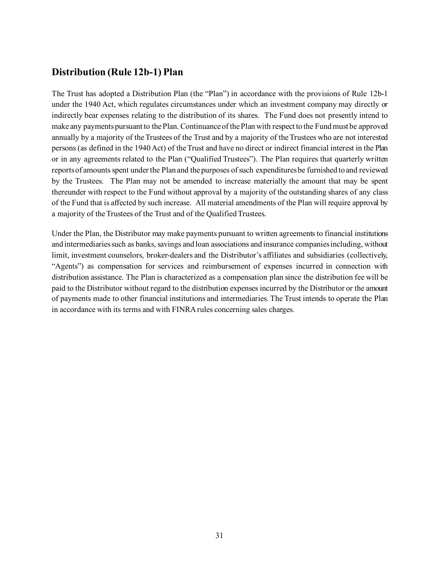## <span id="page-32-0"></span>**Distribution (Rule 12b-1) Plan**

The Trust has adopted a Distribution Plan (the "Plan") in accordance with the provisions of Rule 12b-1 under the 1940 Act, which regulates circumstances under which an investment company may directly or indirectly bear expenses relating to the distribution of its shares. The Fund does not presently intend to make any payments pursuant to the Plan. Continuance of the Plan with respect to the Fund must be approved annually by a majority of the Trustees of the Trust and by a majority of the Trustees who are not interested persons (as defined in the 1940 Act) of the Trust and have no direct or indirect financial interest in the Plan or in any agreements related to the Plan ("Qualified Trustees"). The Plan requires that quarterly written reports of amounts spent under the Plan and the purposes of such expenditures be furnished to and reviewed by the Trustees. The Plan may not be amended to increase materially the amount that may be spent thereunder with respect to the Fund without approval by a majority of the outstanding shares of any class of the Fund that is affected by such increase. All material amendments of the Plan will require approval by a majority of the Trustees of the Trust and of the Qualified Trustees.

Under the Plan, the Distributor may make payments pursuant to written agreements to financial institutions and intermediaries such as banks, savings and loan associations and insurance companies including, without limit, investment counselors, broker-dealers and the Distributor's affiliates and subsidiaries (collectively, "Agents") as compensation for services and reimbursement of expenses incurred in connection with distribution assistance. The Plan is characterized as a compensation plan since the distribution fee will be paid to the Distributor without regard to the distribution expenses incurred by the Distributor or the amount of payments made to other financial institutions and intermediaries. The Trust intends to operate the Plan in accordance with its terms and with FINRA rules concerning sales charges.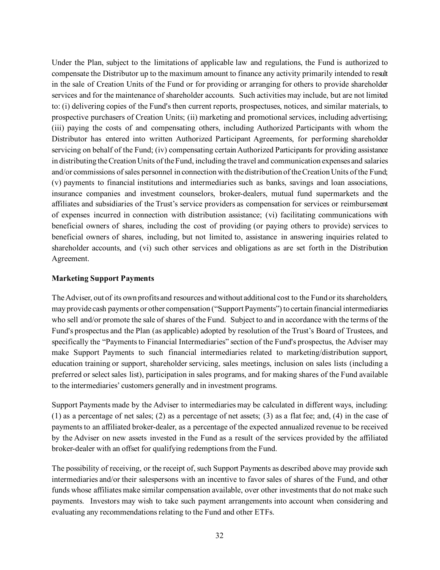Under the Plan, subject to the limitations of applicable law and regulations, the Fund is authorized to compensate the Distributor up to the maximum amount to finance any activity primarily intended to result in the sale of Creation Units of the Fund or for providing or arranging for others to provide shareholder services and for the maintenance of shareholder accounts. Such activities may include, but are not limited to: (i) delivering copies of the Fund's then current reports, prospectuses, notices, and similar materials, to prospective purchasers of Creation Units; (ii) marketing and promotional services, including advertising; (iii) paying the costs of and compensating others, including Authorized Participants with whom the Distributor has entered into written Authorized Participant Agreements, for performing shareholder servicing on behalf of the Fund; (iv) compensating certain Authorized Participants for providing assistance in distributing the Creation Units of the Fund, including the travel and communication expenses and salaries and/or commissions of sales personnel in connection with the distribution of the Creation Units of the Fund; (v) payments to financial institutions and intermediaries such as banks, savings and loan associations, insurance companies and investment counselors, broker-dealers, mutual fund supermarkets and the affiliates and subsidiaries of the Trust's service providers as compensation for services or reimbursement of expenses incurred in connection with distribution assistance; (vi) facilitating communications with beneficial owners of shares, including the cost of providing (or paying others to provide) services to beneficial owners of shares, including, but not limited to, assistance in answering inquiries related to shareholder accounts, and (vi) such other services and obligations as are set forth in the Distribution Agreement.

#### **Marketing Support Payments**

The Adviser, out of its own profits and resources and without additional cost to the Fund or its shareholders, may provide cash payments or other compensation ("Support Payments") to certain financial intermediaries who sell and/or promote the sale of shares of the Fund. Subject to and in accordance with the terms of the Fund's prospectus and the Plan (as applicable) adopted by resolution of the Trust's Board of Trustees, and specifically the "Payments to Financial Intermediaries" section of the Fund's prospectus, the Adviser may make Support Payments to such financial intermediaries related to marketing/distribution support, education training or support, shareholder servicing, sales meetings, inclusion on sales lists (including a preferred or select sales list), participation in sales programs, and for making shares of the Fund available to the intermediaries' customers generally and in investment programs.

Support Payments made by the Adviser to intermediaries may be calculated in different ways, including: (1) as a percentage of net sales; (2) as a percentage of net assets; (3) as a flat fee; and, (4) in the case of payments to an affiliated broker-dealer, as a percentage of the expected annualized revenue to be received by the Adviser on new assets invested in the Fund as a result of the services provided by the affiliated broker-dealer with an offset for qualifying redemptions from the Fund.

The possibility of receiving, or the receipt of, such Support Payments as described above may provide such intermediaries and/or their salespersons with an incentive to favor sales of shares of the Fund, and other funds whose affiliates make similar compensation available, over other investments that do not make such payments. Investors may wish to take such payment arrangements into account when considering and evaluating any recommendations relating to the Fund and other ETFs.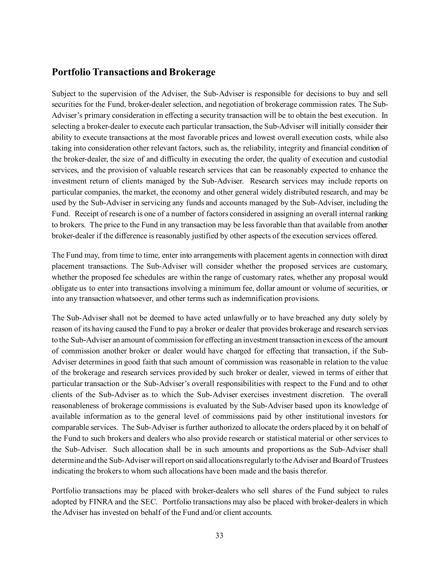### <span id="page-34-0"></span>**Portfolio Transactions and Brokerage**

Subject to the supervision of the Adviser, the Sub-Adviser is responsible for decisions to buy and sell securities for the Fund, broker-dealer selection, and negotiation of brokerage commission rates. The Sub-Adviser's primary consideration in effecting a security transaction will be to obtain the best execution. In selecting a broker-dealer to execute each particular transaction, the Sub-Adviser will initially consider their ability to execute transactions at the most favorable prices and lowest overall execution costs, while also taking into consideration other relevant factors, such as, the reliability, integrity and financial condition of the broker-dealer, the size of and difficulty in executing the order, the quality of execution and custodial services, and the provision of valuable research services that can be reasonably expected to enhance the investment return of clients managed by the Sub-Adviser. Research services may include reports on particular companies, the market, the economy and other general widely distributed research, and may be used by the Sub-Adviser in servicing any funds and accounts managed by the Sub-Adviser, including the Fund. Receipt of research is one of a number of factors considered in assigning an overall internal ranking to brokers. The price to the Fund in any transaction may be less favorable than that available from another broker-dealer if the difference is reasonably justified by other aspects of the execution services offered.

The Fund may, from time to time, enter into arrangements with placement agents in connection with direct placement transactions. The Sub-Adviser will consider whether the proposed services are customary, whether the proposed fee schedules are within the range of customary rates, whether any proposal would obligate us to enter into transactions involving a minimum fee, dollar amount or volume of securities, or into any transaction whatsoever, and other terms such as indemnification provisions.

The Sub-Adviser shall not be deemed to have acted unlawfully or to have breached any duty solely by reason of its having caused the Fund to pay a broker or dealer that provides brokerage and research services to the Sub-Adviser an amount of commission for effecting an investment transaction in excess of the amount of commission another broker or dealer would have charged for effecting that transaction, if the Sub-Adviser determines in good faith that such amount of commission was reasonable in relation to the value of the brokerage and research services provided by such broker or dealer, viewed in terms of either that particular transaction or the Sub-Adviser's overall responsibilities with respect to the Fund and to other clients of the Sub-Adviser as to which the Sub-Adviser exercises investment discretion. The overall reasonableness of brokerage commissions is evaluated by the Sub-Adviser based upon its knowledge of available information as to the general level of commissions paid by other institutional investors for comparable services. The Sub-Adviser is further authorized to allocate the orders placed by it on behalf of the Fund to such brokers and dealers who also provide research or statistical material or other services to the Sub-Adviser. Such allocation shall be in such amounts and proportions as the Sub-Adviser shall determine and the Sub-Adviser will report on said allocations regularly to the Adviser and Board of Trustees indicating the brokers to whom such allocations have been made and the basis therefor.

Portfolio transactions may be placed with broker-dealers who sell shares of the Fund subject to rules adopted by FINRA and the SEC. Portfolio transactions may also be placed with broker-dealers in which the Adviser has invested on behalf of the Fund and/or client accounts.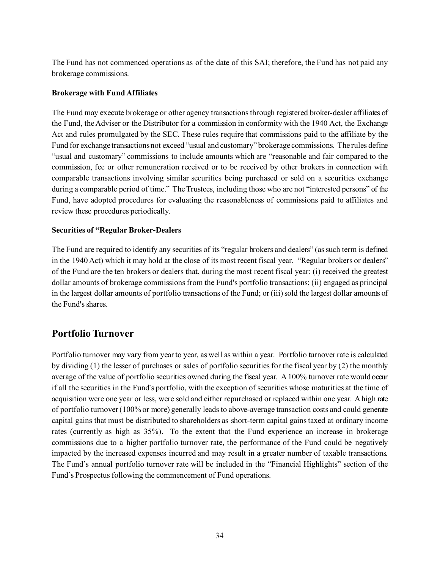The Fund has not commenced operations as of the date of this SAI; therefore, the Fund has not paid any brokerage commissions.

#### **Brokerage with Fund Affiliates**

The Fund may execute brokerage or other agency transactions through registered broker-dealer affiliates of the Fund, the Adviser or the Distributor for a commission in conformity with the 1940 Act, the Exchange Act and rules promulgated by the SEC. These rules require that commissions paid to the affiliate by the Fund for exchange transactions not exceed "usual and customary" brokerage commissions. The rules define "usual and customary" commissions to include amounts which are "reasonable and fair compared to the commission, fee or other remuneration received or to be received by other brokers in connection with comparable transactions involving similar securities being purchased or sold on a securities exchange during a comparable period of time." The Trustees, including those who are not "interested persons" of the Fund, have adopted procedures for evaluating the reasonableness of commissions paid to affiliates and review these procedures periodically.

#### **Securities of "Regular Broker-Dealers**

The Fund are required to identify any securities of its "regular brokers and dealers" (as such term is defined in the 1940 Act) which it may hold at the close of its most recent fiscal year. "Regular brokers or dealers" of the Fund are the ten brokers or dealers that, during the most recent fiscal year: (i) received the greatest dollar amounts of brokerage commissions from the Fund's portfolio transactions; (ii) engaged as principal in the largest dollar amounts of portfolio transactions of the Fund; or (iii) sold the largest dollar amounts of the Fund's shares.

## <span id="page-35-0"></span>**Portfolio Turnover**

Portfolio turnover may vary from year to year, as well as within a year. Portfolio turnover rate is calculated by dividing (1) the lesser of purchases or sales of portfolio securities for the fiscal year by (2) the monthly average of the value of portfolio securities owned during the fiscal year. A 100% turnover rate would occur if all the securities in the Fund's portfolio, with the exception of securities whose maturities at the time of acquisition were one year or less, were sold and either repurchased or replaced within one year. A high rate of portfolio turnover (100% or more) generally leads to above-average transaction costs and could generate capital gains that must be distributed to shareholders as short-term capital gains taxed at ordinary income rates (currently as high as 35%). To the extent that the Fund experience an increase in brokerage commissions due to a higher portfolio turnover rate, the performance of the Fund could be negatively impacted by the increased expenses incurred and may result in a greater number of taxable transactions. The Fund's annual portfolio turnover rate will be included in the "Financial Highlights" section of the Fund's Prospectus following the commencement of Fund operations.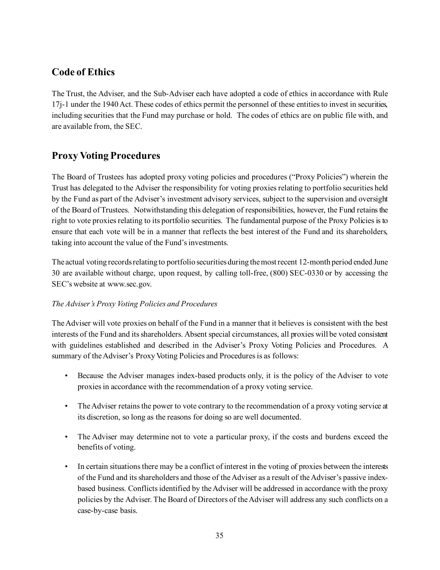## <span id="page-36-0"></span>**Code of Ethics**

The Trust, the Adviser, and the Sub-Adviser each have adopted a code of ethics in accordance with Rule 17j-1 under the 1940 Act. These codes of ethics permit the personnel of these entities to invest in securities, including securities that the Fund may purchase or hold. The codes of ethics are on public file with, and are available from, the SEC.

## <span id="page-36-1"></span>**Proxy Voting Procedures**

The Board of Trustees has adopted proxy voting policies and procedures ("Proxy Policies") wherein the Trust has delegated to the Adviser the responsibility for voting proxies relating to portfolio securities held by the Fund as part of the Adviser's investment advisory services, subject to the supervision and oversight of the Board of Trustees. Notwithstanding this delegation of responsibilities, however, the Fund retains the right to vote proxies relating to its portfolio securities. The fundamental purpose of the Proxy Policies is to ensure that each vote will be in a manner that reflects the best interest of the Fund and its shareholders, taking into account the value of the Fund's investments.

The actual voting recordsrelating to portfolio securities during the most recent 12-month period ended June 30 are available without charge, upon request, by calling toll-free, (800) SEC-0330 or by accessing the SEC's website at www.sec.gov.

#### *The Adviser's Proxy Voting Policies and Procedures*

The Adviser will vote proxies on behalf of the Fund in a manner that it believes is consistent with the best interests of the Fund and its shareholders. Absent special circumstances, all proxies will be voted consistent with guidelines established and described in the Adviser's Proxy Voting Policies and Procedures. A summary of the Adviser's Proxy Voting Policies and Procedures is as follows:

- Because the Adviser manages index-based products only, it is the policy of the Adviser to vote proxiesin accordance with the recommendation of a proxy voting service.
- The Adviser retains the power to vote contrary to the recommendation of a proxy voting service at its discretion, so long as the reasons for doing so are well documented.
- The Adviser may determine not to vote a particular proxy, if the costs and burdens exceed the benefits of voting.
- In certain situations there may be a conflict of interest in the voting of proxies between the interests of the Fund and its shareholders and those of the Adviser as a result of the Adviser's passive indexbased business. Conflicts identified by the Adviser will be addressed in accordance with the proxy policies by the Adviser. The Board of Directors of the Adviser will address any such conflicts on a case-by-case basis.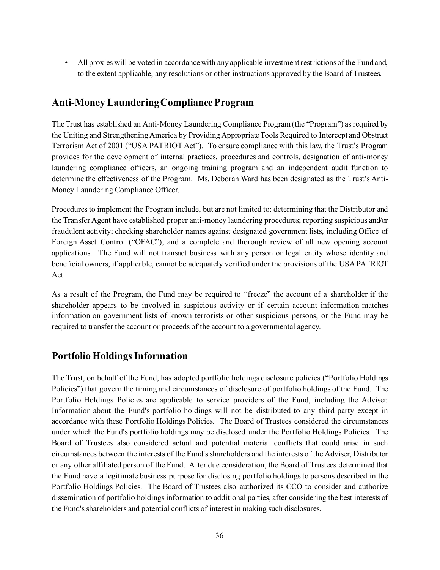• All proxies will be voted in accordance with any applicable investment restrictions of the Fund and, to the extent applicable, any resolutions or other instructions approved by the Board of Trustees.

## <span id="page-37-0"></span>**Anti-Money Laundering Compliance Program**

The Trust has established an Anti-Money Laundering Compliance Program (the "Program") as required by the Uniting and Strengthening America by Providing Appropriate Tools Required to Intercept and Obstruct Terrorism Act of 2001 ("USA PATRIOT Act"). To ensure compliance with this law, the Trust's Program provides for the development of internal practices, procedures and controls, designation of anti-money laundering compliance officers, an ongoing training program and an independent audit function to determine the effectiveness of the Program. Ms. Deborah Ward has been designated as the Trust's Anti-Money Laundering Compliance Officer.

Procedures to implement the Program include, but are not limited to: determining that the Distributor and the Transfer Agent have established proper anti-money laundering procedures; reporting suspicious and/or fraudulent activity; checking shareholder names against designated government lists, including Office of Foreign Asset Control ("OFAC"), and a complete and thorough review of all new opening account applications. The Fund will not transact business with any person or legal entity whose identity and beneficial owners, if applicable, cannot be adequately verified under the provisions of the USA PATRIOT Act.

As a result of the Program, the Fund may be required to "freeze" the account of a shareholder if the shareholder appears to be involved in suspicious activity or if certain account information matches information on government lists of known terrorists or other suspicious persons, or the Fund may be required to transfer the account or proceeds of the account to a governmental agency.

## <span id="page-37-1"></span>**Portfolio Holdings Information**

The Trust, on behalf of the Fund, has adopted portfolio holdings disclosure policies ("Portfolio Holdings Policies") that govern the timing and circumstances of disclosure of portfolio holdings of the Fund. The Portfolio Holdings Policies are applicable to service providers of the Fund, including the Adviser. Information about the Fund's portfolio holdings will not be distributed to any third party except in accordance with these Portfolio Holdings Policies. The Board of Trustees considered the circumstances under which the Fund's portfolio holdings may be disclosed under the Portfolio Holdings Policies. The Board of Trustees also considered actual and potential material conflicts that could arise in such circumstances between the interests of the Fund's shareholders and the interests of the Adviser, Distributor or any other affiliated person of the Fund. After due consideration, the Board of Trustees determined that the Fund have a legitimate business purpose for disclosing portfolio holdings to persons described in the Portfolio Holdings Policies. The Board of Trustees also authorized its CCO to consider and authorize dissemination of portfolio holdings information to additional parties, after considering the best interests of the Fund's shareholders and potential conflicts of interest in making such disclosures.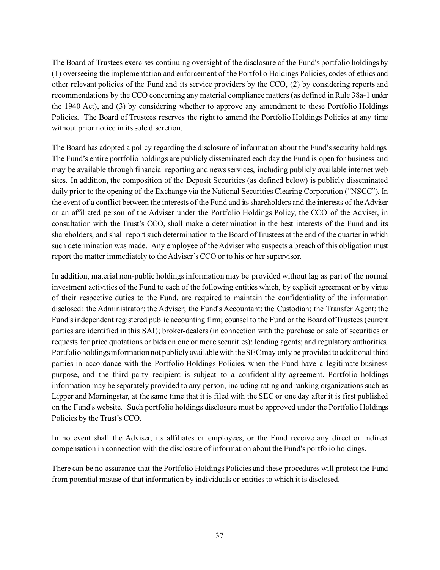The Board of Trustees exercises continuing oversight of the disclosure of the Fund's portfolio holdings by (1) overseeing the implementation and enforcement of the Portfolio Holdings Policies, codes of ethics and other relevant policies of the Fund and its service providers by the CCO, (2) by considering reports and recommendations by the CCO concerning any material compliance matters (as defined in Rule 38a-1 under the 1940 Act), and (3) by considering whether to approve any amendment to these Portfolio Holdings Policies. The Board of Trustees reserves the right to amend the Portfolio Holdings Policies at any time without prior notice in its sole discretion.

The Board has adopted a policy regarding the disclosure of information about the Fund's security holdings. The Fund's entire portfolio holdings are publicly disseminated each day the Fund is open for business and may be available through financial reporting and news services, including publicly available internet web sites. In addition, the composition of the Deposit Securities (as defined below) is publicly disseminated daily prior to the opening of the Exchange via the National Securities Clearing Corporation ("NSCC"). In the event of a conflict between the interests of the Fund and its shareholders and the interests of the Adviser or an affiliated person of the Adviser under the Portfolio Holdings Policy, the CCO of the Adviser, in consultation with the Trust's CCO, shall make a determination in the best interests of the Fund and its shareholders, and shall report such determination to the Board of Trustees at the end of the quarter in which such determination was made. Any employee of the Adviser who suspects a breach of this obligation must report the matter immediately to the Adviser's CCO or to his or her supervisor.

In addition, material non-public holdings information may be provided without lag as part of the normal investment activities of the Fund to each of the following entities which, by explicit agreement or by virtue of their respective duties to the Fund, are required to maintain the confidentiality of the information disclosed: the Administrator; the Adviser; the Fund's Accountant; the Custodian; the Transfer Agent; the Fund's independent registered public accounting firm; counsel to the Fund or the Board of Trustees (current parties are identified in this SAI); broker-dealers (in connection with the purchase or sale of securities or requests for price quotations or bids on one or more securities); lending agents; and regulatory authorities. Portfolio holdings information not publicly available with the SEC may only be provided to additional third parties in accordance with the Portfolio Holdings Policies, when the Fund have a legitimate business purpose, and the third party recipient is subject to a confidentiality agreement. Portfolio holdings information may be separately provided to any person, including rating and ranking organizations such as Lipper and Morningstar, at the same time that it is filed with the SEC or one day after it is first published on the Fund's website. Such portfolio holdings disclosure must be approved under the Portfolio Holdings Policies by the Trust's CCO.

In no event shall the Adviser, its affiliates or employees, or the Fund receive any direct or indirect compensation in connection with the disclosure of information about the Fund's portfolio holdings.

There can be no assurance that the Portfolio Holdings Policies and these procedures will protect the Fund from potential misuse of that information by individuals or entities to which it is disclosed.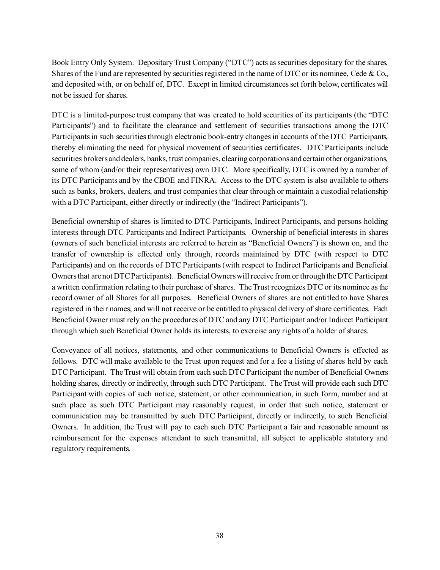Book Entry Only System. Depositary Trust Company ("DTC") acts as securities depositary for the shares. Shares of the Fund are represented by securities registered in the name of DTC or its nominee, Cede & Co., and deposited with, or on behalf of, DTC. Except in limited circumstances set forth below, certificates will not be issued for shares.

DTC is a limited-purpose trust company that was created to hold securities of its participants (the "DTC Participants") and to facilitate the clearance and settlement of securities transactions among the DTC Participants in such securities through electronic book-entry changes in accounts of the DTC Participants, thereby eliminating the need for physical movement of securities certificates. DTC Participants include securities brokers and dealers, banks, trust companies, clearing corporations and certain other organizations, some of whom (and/or their representatives) own DTC. More specifically, DTC is owned by a number of its DTC Participants and by the CBOE and FINRA. Access to the DTC system is also available to others such as banks, brokers, dealers, and trust companies that clear through or maintain a custodial relationship with a DTC Participant, either directly or indirectly (the "Indirect Participants").

Beneficial ownership of shares is limited to DTC Participants, Indirect Participants, and persons holding interests through DTC Participants and Indirect Participants. Ownership of beneficial interests in shares (owners of such beneficial interests are referred to herein as "Beneficial Owners") is shown on, and the transfer of ownership is effected only through, records maintained by DTC (with respect to DTC Participants) and on the records of DTC Participants (with respect to Indirect Participants and Beneficial Owners that are not DTC Participants). Beneficial Owners will receive from or through the DTC Participant a written confirmation relating to their purchase of shares. The Trust recognizes DTC or its nominee as the record owner of all Shares for all purposes. Beneficial Owners of shares are not entitled to have Shares registered in their names, and will not receive or be entitled to physical delivery of share certificates. Each Beneficial Owner must rely on the procedures of DTC and any DTC Participant and/or Indirect Participant through which such Beneficial Owner holds its interests, to exercise any rights of a holder of shares.

Conveyance of all notices, statements, and other communications to Beneficial Owners is effected as follows. DTC will make available to the Trust upon request and for a fee a listing of shares held by each DTC Participant. The Trust will obtain from each such DTC Participant the number of Beneficial Owners holding shares, directly or indirectly, through such DTC Participant. The Trust will provide each such DTC Participant with copies of such notice, statement, or other communication, in such form, number and at such place as such DTC Participant may reasonably request, in order that such notice, statement or communication may be transmitted by such DTC Participant, directly or indirectly, to such Beneficial Owners. In addition, the Trust will pay to each such DTC Participant a fair and reasonable amount as reimbursement for the expenses attendant to such transmittal, all subject to applicable statutory and regulatory requirements.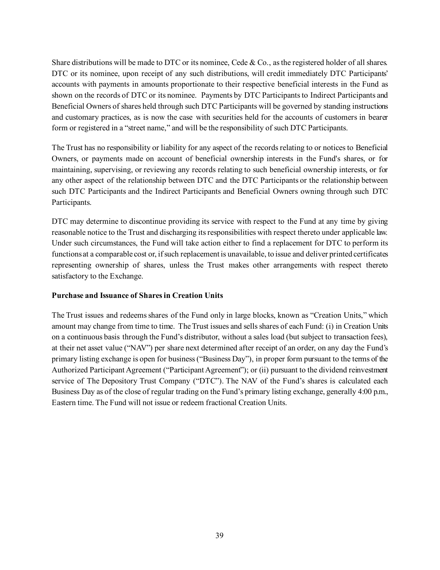Share distributions will be made to DTC or its nominee, Cede & Co., as the registered holder of all shares. DTC or its nominee, upon receipt of any such distributions, will credit immediately DTC Participants' accounts with payments in amounts proportionate to their respective beneficial interests in the Fund as shown on the records of DTC or its nominee. Payments by DTC Participants to Indirect Participants and Beneficial Owners of shares held through such DTC Participants will be governed by standing instructions and customary practices, as is now the case with securities held for the accounts of customers in bearer form or registered in a "street name," and will be the responsibility of such DTC Participants.

The Trust has no responsibility or liability for any aspect of the records relating to or notices to Beneficial Owners, or payments made on account of beneficial ownership interests in the Fund's shares, or for maintaining, supervising, or reviewing any records relating to such beneficial ownership interests, or for any other aspect of the relationship between DTC and the DTC Participants or the relationship between such DTC Participants and the Indirect Participants and Beneficial Owners owning through such DTC Participants.

DTC may determine to discontinue providing its service with respect to the Fund at any time by giving reasonable notice to the Trust and discharging its responsibilities with respect thereto under applicable law. Under such circumstances, the Fund will take action either to find a replacement for DTC to perform its functions at a comparable cost or, if such replacement is unavailable, to issue and deliver printed certificates representing ownership of shares, unless the Trust makes other arrangements with respect thereto satisfactory to the Exchange.

#### <span id="page-40-0"></span>**Purchase and Issuance of Shares in Creation Units**

The Trust issues and redeems shares of the Fund only in large blocks, known as "Creation Units," which amount may change from time to time. The Trust issues and sells shares of each Fund: (i) in Creation Units on a continuous basis through the Fund's distributor, without a sales load (but subject to transaction fees), at their net asset value ("NAV") per share next determined after receipt of an order, on any day the Fund's primary listing exchange is open for business ("Business Day"), in proper form pursuant to the terms of the Authorized Participant Agreement ("Participant Agreement"); or (ii) pursuant to the dividend reinvestment service of The Depository Trust Company ("DTC"). The NAV of the Fund's shares is calculated each Business Day as of the close of regular trading on the Fund's primary listing exchange, generally 4:00 p.m., Eastern time. The Fund will not issue or redeem fractional Creation Units.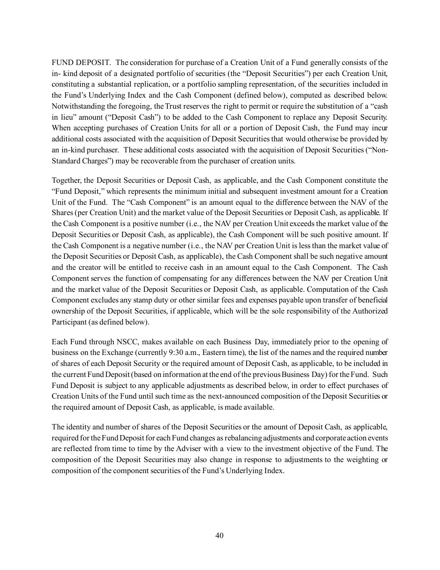FUND DEPOSIT. The consideration for purchase of a Creation Unit of a Fund generally consists of the in- kind deposit of a designated portfolio of securities (the "Deposit Securities") per each Creation Unit, constituting a substantial replication, or a portfolio sampling representation, of the securities included in the Fund's Underlying Index and the Cash Component (defined below), computed as described below. Notwithstanding the foregoing, the Trust reserves the right to permit or require the substitution of a "cash in lieu" amount ("Deposit Cash") to be added to the Cash Component to replace any Deposit Security. When accepting purchases of Creation Units for all or a portion of Deposit Cash, the Fund may incur additional costs associated with the acquisition of Deposit Securities that would otherwise be provided by an in-kind purchaser. These additional costs associated with the acquisition of Deposit Securities ("Non-Standard Charges") may be recoverable from the purchaser of creation units.

Together, the Deposit Securities or Deposit Cash, as applicable, and the Cash Component constitute the "Fund Deposit," which represents the minimum initial and subsequent investment amount for a Creation Unit of the Fund. The "Cash Component" is an amount equal to the difference between the NAV of the Shares (per Creation Unit) and the market value of the Deposit Securities or Deposit Cash, as applicable. If the Cash Component is a positive number (i.e., the NAV per Creation Unit exceeds the market value of the Deposit Securities or Deposit Cash, as applicable), the Cash Component will be such positive amount. If the Cash Component is a negative number (i.e., the NAV per Creation Unit is less than the market value of the Deposit Securities or Deposit Cash, as applicable), the Cash Component shall be such negative amount and the creator will be entitled to receive cash in an amount equal to the Cash Component. The Cash Component serves the function of compensating for any differences between the NAV per Creation Unit and the market value of the Deposit Securities or Deposit Cash, as applicable. Computation of the Cash Component excludes any stamp duty or other similar fees and expenses payable upon transfer of beneficial ownership of the Deposit Securities, if applicable, which will be the sole responsibility of the Authorized Participant (as defined below).

Each Fund through NSCC, makes available on each Business Day, immediately prior to the opening of business on the Exchange (currently 9:30 a.m., Eastern time), the list of the names and the required number of shares of each Deposit Security or the required amount of Deposit Cash, as applicable, to be included in the current Fund Deposit (based on information at the end of the previous Business Day) for the Fund. Such Fund Deposit is subject to any applicable adjustments as described below, in order to effect purchases of Creation Units of the Fund until such time as the next-announced composition of the Deposit Securities or the required amount of Deposit Cash, as applicable, is made available.

The identity and number of shares of the Deposit Securities or the amount of Deposit Cash, as applicable, required for the Fund Deposit for each Fund changes as rebalancing adjustments and corporate action events are reflected from time to time by the Adviser with a view to the investment objective of the Fund. The composition of the Deposit Securities may also change in response to adjustments to the weighting or composition of the component securities of the Fund's Underlying Index.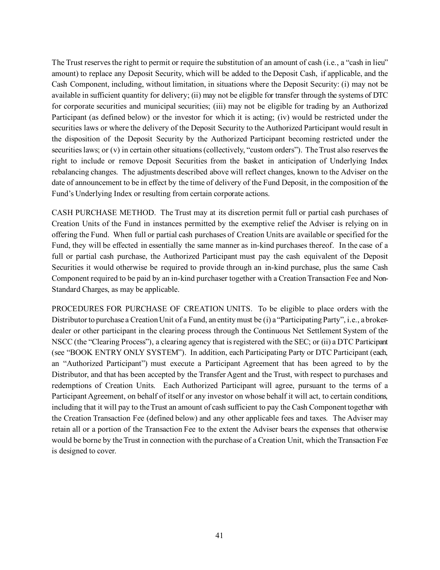The Trust reserves the right to permit or require the substitution of an amount of cash (i.e., a "cash in lieu" amount) to replace any Deposit Security, which will be added to the Deposit Cash, if applicable, and the Cash Component, including, without limitation, in situations where the Deposit Security: (i) may not be available in sufficient quantity for delivery; (ii) may not be eligible for transfer through the systems of DTC for corporate securities and municipal securities; (iii) may not be eligible for trading by an Authorized Participant (as defined below) or the investor for which it is acting; (iv) would be restricted under the securities laws or where the delivery of the Deposit Security to the Authorized Participant would result in the disposition of the Deposit Security by the Authorized Participant becoming restricted under the securities laws; or (v) in certain other situations (collectively, "custom orders"). The Trust also reserves the right to include or remove Deposit Securities from the basket in anticipation of Underlying Index rebalancing changes. The adjustments described above will reflect changes, known to the Adviser on the date of announcement to be in effect by the time of delivery of the Fund Deposit, in the composition of the Fund's Underlying Index or resulting from certain corporate actions.

CASH PURCHASE METHOD. The Trust may at its discretion permit full or partial cash purchases of Creation Units of the Fund in instances permitted by the exemptive relief the Adviser is relying on in offering the Fund. When full or partial cash purchases of Creation Units are available or specified for the Fund, they will be effected in essentially the same manner as in-kind purchases thereof. In the case of a full or partial cash purchase, the Authorized Participant must pay the cash equivalent of the Deposit Securities it would otherwise be required to provide through an in-kind purchase, plus the same Cash Component required to be paid by an in-kind purchaser together with a Creation Transaction Fee and Non-Standard Charges, as may be applicable.

PROCEDURES FOR PURCHASE OF CREATION UNITS. To be eligible to place orders with the Distributor to purchase a Creation Unit of a Fund, an entity must be (i) a "Participating Party", i.e., a brokerdealer or other participant in the clearing process through the Continuous Net Settlement System of the NSCC (the "Clearing Process"), a clearing agency that is registered with the SEC; or (ii) a DTC Participant (see "BOOK ENTRY ONLY SYSTEM"). In addition, each Participating Party or DTC Participant (each, an "Authorized Participant") must execute a Participant Agreement that has been agreed to by the Distributor, and that has been accepted by the Transfer Agent and the Trust, with respect to purchases and redemptions of Creation Units. Each Authorized Participant will agree, pursuant to the terms of a Participant Agreement, on behalf of itself or any investor on whose behalf it will act, to certain conditions, including that it will pay to the Trust an amount of cash sufficient to pay the Cash Component together with the Creation Transaction Fee (defined below) and any other applicable fees and taxes. The Adviser may retain all or a portion of the Transaction Fee to the extent the Adviser bears the expenses that otherwise would be borne by the Trust in connection with the purchase of a Creation Unit, which the Transaction Fee is designed to cover.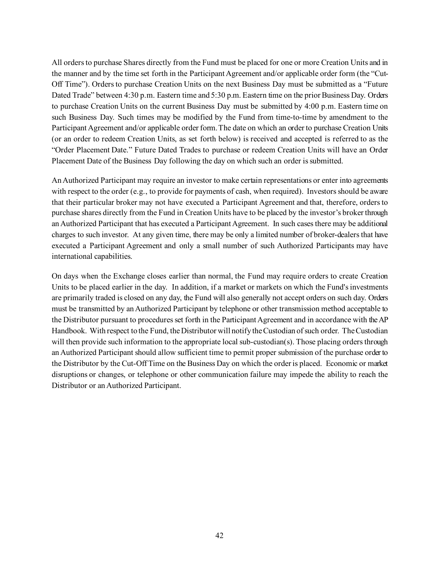All orders to purchase Shares directly from the Fund must be placed for one or more Creation Units and in the manner and by the time set forth in the Participant Agreement and/or applicable order form (the "Cut-Off Time"). Orders to purchase Creation Units on the next Business Day must be submitted as a "Future Dated Trade" between 4:30 p.m. Eastern time and 5:30 p.m. Eastern time on the prior Business Day. Orders to purchase Creation Units on the current Business Day must be submitted by 4:00 p.m. Eastern time on such Business Day. Such times may be modified by the Fund from time-to-time by amendment to the Participant Agreement and/or applicable order form. The date on which an order to purchase Creation Units (or an order to redeem Creation Units, as set forth below) is received and accepted is referred to as the "Order Placement Date." Future Dated Trades to purchase or redeem Creation Units will have an Order Placement Date of the Business Day following the day on which such an order is submitted.

An Authorized Participant may require an investor to make certain representations or enter into agreements with respect to the order (e.g., to provide for payments of cash, when required). Investors should be aware that their particular broker may not have executed a Participant Agreement and that, therefore, orders to purchase shares directly from the Fund in Creation Units have to be placed by the investor's broker through an Authorized Participant that has executed a Participant Agreement. In such cases there may be additional charges to such investor. At any given time, there may be only a limited number of broker-dealers that have executed a Participant Agreement and only a small number of such Authorized Participants may have international capabilities.

On days when the Exchange closes earlier than normal, the Fund may require orders to create Creation Units to be placed earlier in the day. In addition, if a market or markets on which the Fund's investments are primarily traded is closed on any day, the Fund will also generally not accept orders on such day. Orders must be transmitted by an Authorized Participant by telephone or other transmission method acceptable to the Distributor pursuant to procedures set forth in the Participant Agreement and in accordance with the AP Handbook. With respect to the Fund, the Distributor will notify the Custodian of such order. The Custodian will then provide such information to the appropriate local sub-custodian(s). Those placing orders through an Authorized Participant should allow sufficient time to permit proper submission of the purchase order to the Distributor by the Cut-Off Time on the Business Day on which the order is placed. Economic or market disruptions or changes, or telephone or other communication failure may impede the ability to reach the Distributor or an Authorized Participant.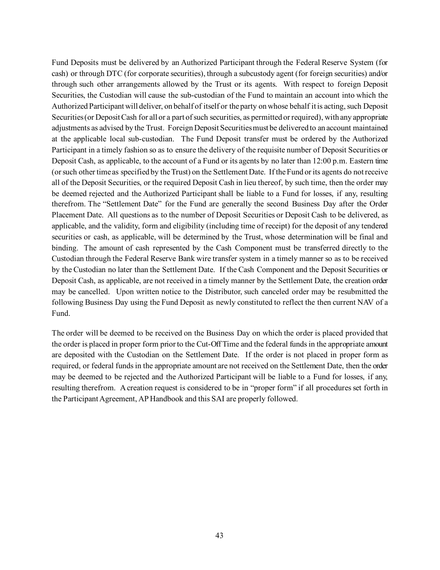Fund Deposits must be delivered by an Authorized Participant through the Federal Reserve System (for cash) or through DTC (for corporate securities), through a subcustody agent (for foreign securities) and/or through such other arrangements allowed by the Trust or its agents. With respect to foreign Deposit Securities, the Custodian will cause the sub-custodian of the Fund to maintain an account into which the Authorized Participant will deliver, on behalf of itself or the party on whose behalf it is acting, such Deposit Securities (or Deposit Cash for all or a part of such securities, as permitted or required), with any appropriate adjustments as advised by the Trust. Foreign Deposit Securities must be delivered to an account maintained at the applicable local sub-custodian. The Fund Deposit transfer must be ordered by the Authorized Participant in a timely fashion so as to ensure the delivery of the requisite number of Deposit Securities or Deposit Cash, as applicable, to the account of a Fund or its agents by no later than 12:00 p.m. Eastern time (or such other time as specified by the Trust) on the Settlement Date. If the Fund or its agents do not receive all of the Deposit Securities, or the required Deposit Cash in lieu thereof, by such time, then the order may be deemed rejected and the Authorized Participant shall be liable to a Fund for losses, if any, resulting therefrom. The "Settlement Date" for the Fund are generally the second Business Day after the Order Placement Date. All questions as to the number of Deposit Securities or Deposit Cash to be delivered, as applicable, and the validity, form and eligibility (including time of receipt) for the deposit of any tendered securities or cash, as applicable, will be determined by the Trust, whose determination will be final and binding. The amount of cash represented by the Cash Component must be transferred directly to the Custodian through the Federal Reserve Bank wire transfer system in a timely manner so as to be received by the Custodian no later than the Settlement Date. If the Cash Component and the Deposit Securities or Deposit Cash, as applicable, are not received in a timely manner by the Settlement Date, the creation order may be cancelled. Upon written notice to the Distributor, such canceled order may be resubmitted the following Business Day using the Fund Deposit as newly constituted to reflect the then current NAV of a Fund.

The order will be deemed to be received on the Business Day on which the order is placed provided that the order is placed in proper form prior to the Cut-Off Time and the federal funds in the appropriate amount are deposited with the Custodian on the Settlement Date. If the order is not placed in proper form as required, or federal funds in the appropriate amount are not received on the Settlement Date, then the order may be deemed to be rejected and the Authorized Participant will be liable to a Fund for losses, if any, resulting therefrom. A creation request is considered to be in "proper form" if all procedures set forth in the Participant Agreement, AP Handbook and this SAI are properly followed.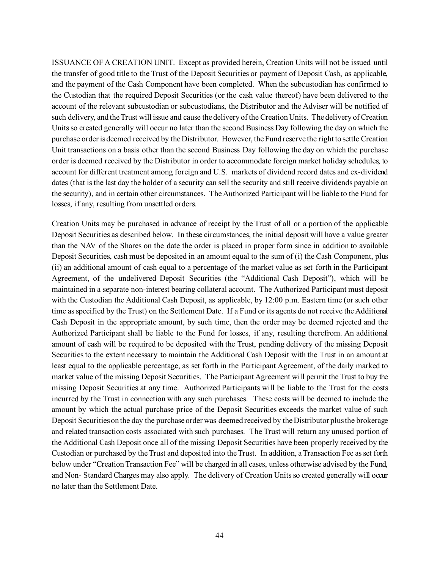ISSUANCE OF A CREATION UNIT. Except as provided herein, Creation Units will not be issued until the transfer of good title to the Trust of the Deposit Securities or payment of Deposit Cash, as applicable, and the payment of the Cash Component have been completed. When the subcustodian has confirmed to the Custodian that the required Deposit Securities (or the cash value thereof) have been delivered to the account of the relevant subcustodian or subcustodians, the Distributor and the Adviser will be notified of such delivery, and the Trust will issue and cause the delivery of the Creation Units. The delivery of Creation Units so created generally will occur no later than the second Business Day following the day on which the purchase order is deemed received by the Distributor. However, the Fund reserve the right to settle Creation Unit transactions on a basis other than the second Business Day following the day on which the purchase order is deemed received by the Distributor in order to accommodate foreign market holiday schedules, to account for different treatment among foreign and U.S. markets of dividend record dates and ex-dividend dates (that is the last day the holder of a security can sell the security and still receive dividends payable on the security), and in certain other circumstances. The Authorized Participant will be liable to the Fund for losses, if any, resulting from unsettled orders.

Creation Units may be purchased in advance of receipt by the Trust of all or a portion of the applicable Deposit Securities as described below. In these circumstances, the initial deposit will have a value greater than the NAV of the Shares on the date the order is placed in proper form since in addition to available Deposit Securities, cash must be deposited in an amount equal to the sum of (i) the Cash Component, plus (ii) an additional amount of cash equal to a percentage of the market value as set forth in the Participant Agreement, of the undelivered Deposit Securities (the "Additional Cash Deposit"), which will be maintained in a separate non-interest bearing collateral account. The Authorized Participant must deposit with the Custodian the Additional Cash Deposit, as applicable, by 12:00 p.m. Eastern time (or such other time as specified by the Trust) on the Settlement Date. If a Fund or its agents do not receive the Additional Cash Deposit in the appropriate amount, by such time, then the order may be deemed rejected and the Authorized Participant shall be liable to the Fund for losses, if any, resulting therefrom. An additional amount of cash will be required to be deposited with the Trust, pending delivery of the missing Deposit Securities to the extent necessary to maintain the Additional Cash Deposit with the Trust in an amount at least equal to the applicable percentage, as set forth in the Participant Agreement, of the daily marked to market value of the missing Deposit Securities. The Participant Agreement will permit the Trust to buy the missing Deposit Securities at any time. Authorized Participants will be liable to the Trust for the costs incurred by the Trust in connection with any such purchases. These costs will be deemed to include the amount by which the actual purchase price of the Deposit Securities exceeds the market value of such Deposit Securities on the day the purchase order was deemed received by the Distributor plus the brokerage and related transaction costs associated with such purchases. The Trust will return any unused portion of the Additional Cash Deposit once all of the missing Deposit Securities have been properly received by the Custodian or purchased by the Trust and deposited into the Trust. In addition, a Transaction Fee as set forth below under "Creation Transaction Fee" will be charged in all cases, unless otherwise advised by the Fund, and Non- Standard Charges may also apply. The delivery of Creation Units so created generally will occur no later than the Settlement Date.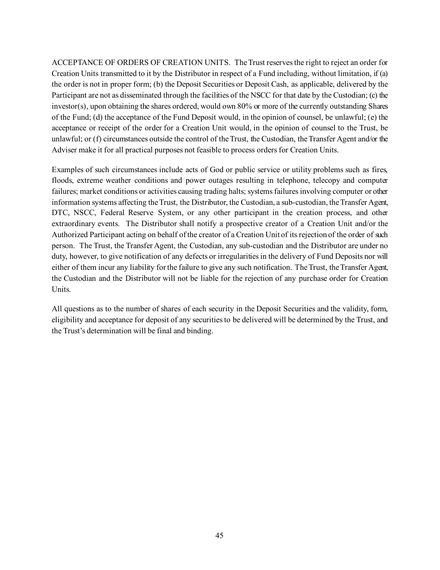ACCEPTANCE OF ORDERS OF CREATION UNITS. The Trust reserves the right to reject an order for Creation Units transmitted to it by the Distributor in respect of a Fund including, without limitation, if (a) the order is not in proper form; (b) the Deposit Securities or Deposit Cash, as applicable, delivered by the Participant are not as disseminated through the facilities of the NSCC for that date by the Custodian; (c) the investor(s), upon obtaining the shares ordered, would own 80% or more of the currently outstanding Shares of the Fund; (d) the acceptance of the Fund Deposit would, in the opinion of counsel, be unlawful; (e) the acceptance or receipt of the order for a Creation Unit would, in the opinion of counsel to the Trust, be unlawful; or (f) circumstances outside the control of the Trust, the Custodian, the Transfer Agent and/or the Adviser make it for all practical purposes not feasible to process orders for Creation Units.

Examples of such circumstances include acts of God or public service or utility problems such as fires, floods, extreme weather conditions and power outages resulting in telephone, telecopy and computer failures; market conditions or activities causing trading halts; systems failures involving computer or other information systems affecting the Trust, the Distributor, the Custodian, a sub-custodian, the Transfer Agent, DTC, NSCC, Federal Reserve System, or any other participant in the creation process, and other extraordinary events. The Distributor shall notify a prospective creator of a Creation Unit and/or the Authorized Participant acting on behalf of the creator of a Creation Unit of its rejection of the order of such person. The Trust, the Transfer Agent, the Custodian, any sub-custodian and the Distributor are under no duty, however, to give notification of any defects or irregularities in the delivery of Fund Deposits nor will either of them incur any liability for the failure to give any such notification. The Trust, the Transfer Agent, the Custodian and the Distributor will not be liable for the rejection of any purchase order for Creation Units.

All questions as to the number of shares of each security in the Deposit Securities and the validity, form, eligibility and acceptance for deposit of any securities to be delivered will be determined by the Trust, and the Trust's determination will be final and binding.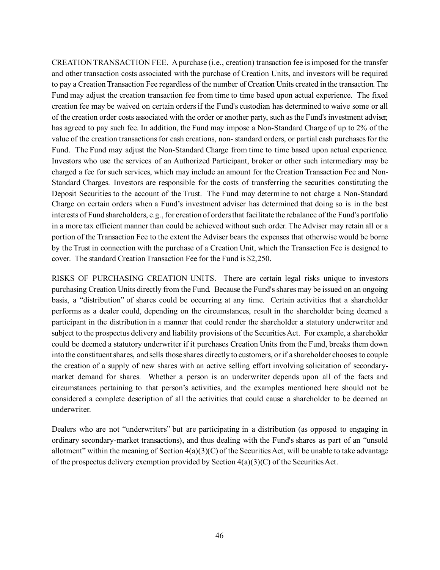CREATION TRANSACTION FEE. A purchase (i.e., creation) transaction fee is imposed for the transfer and other transaction costs associated with the purchase of Creation Units, and investors will be required to pay a Creation Transaction Fee regardless of the number of Creation Units created in the transaction. The Fund may adjust the creation transaction fee from time to time based upon actual experience. The fixed creation fee may be waived on certain orders if the Fund's custodian has determined to waive some or all of the creation order costs associated with the order or another party, such as the Fund's investment adviser, has agreed to pay such fee. In addition, the Fund may impose a Non-Standard Charge of up to 2% of the value of the creation transactions for cash creations, non- standard orders, or partial cash purchases for the Fund. The Fund may adjust the Non-Standard Charge from time to time based upon actual experience. Investors who use the services of an Authorized Participant, broker or other such intermediary may be charged a fee for such services, which may include an amount for the Creation Transaction Fee and Non-Standard Charges. Investors are responsible for the costs of transferring the securities constituting the Deposit Securities to the account of the Trust. The Fund may determine to not charge a Non-Standard Charge on certain orders when a Fund's investment adviser has determined that doing so is in the best interests of Fund shareholders, e.g., for creation of orders that facilitate the rebalance of the Fund's portfolio in a more tax efficient manner than could be achieved without such order. The Adviser may retain all or a portion of the Transaction Fee to the extent the Adviser bears the expenses that otherwise would be borne by the Trust in connection with the purchase of a Creation Unit, which the Transaction Fee is designed to cover. The standard Creation Transaction Fee for the Fund is \$2,250.

RISKS OF PURCHASING CREATION UNITS. There are certain legal risks unique to investors purchasing Creation Units directly from the Fund. Because the Fund's shares may be issued on an ongoing basis, a "distribution" of shares could be occurring at any time. Certain activities that a shareholder performs as a dealer could, depending on the circumstances, result in the shareholder being deemed a participant in the distribution in a manner that could render the shareholder a statutory underwriter and subject to the prospectus delivery and liability provisions of the Securities Act. For example, a shareholder could be deemed a statutory underwriter if it purchases Creation Units from the Fund, breaks them down into the constituent shares, and sells those shares directly to customers, or if a shareholder chooses to couple the creation of a supply of new shares with an active selling effort involving solicitation of secondarymarket demand for shares. Whether a person is an underwriter depends upon all of the facts and circumstances pertaining to that person's activities, and the examples mentioned here should not be considered a complete description of all the activities that could cause a shareholder to be deemed an underwriter.

Dealers who are not "underwriters" but are participating in a distribution (as opposed to engaging in ordinary secondary-market transactions), and thus dealing with the Fund's shares as part of an "unsold allotment" within the meaning of Section  $4(a)(3)(C)$  of the Securities Act, will be unable to take advantage of the prospectus delivery exemption provided by Section  $4(a)(3)(C)$  of the Securities Act.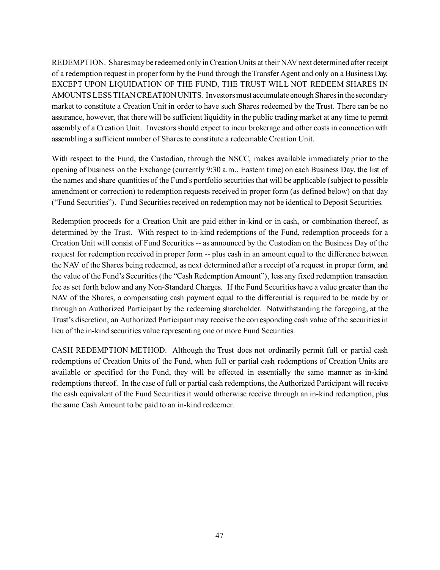REDEMPTION. Shares may be redeemed only in Creation Units at their NAV next determined after receipt of a redemption request in proper form by the Fund through the Transfer Agent and only on a Business Day. EXCEPT UPON LIQUIDATION OF THE FUND, THE TRUST WILL NOT REDEEM SHARES IN AMOUNTS LESS THAN CREATION UNITS. Investors must accumulate enough Shares in the secondary market to constitute a Creation Unit in order to have such Shares redeemed by the Trust. There can be no assurance, however, that there will be sufficient liquidity in the public trading market at any time to permit assembly of a Creation Unit. Investors should expect to incur brokerage and other costs in connection with assembling a sufficient number of Shares to constitute a redeemable Creation Unit.

With respect to the Fund, the Custodian, through the NSCC, makes available immediately prior to the opening of business on the Exchange (currently 9:30 a.m., Eastern time) on each Business Day, the list of the names and share quantities of the Fund's portfolio securities that will be applicable (subject to possible amendment or correction) to redemption requests received in proper form (as defined below) on that day ("Fund Securities"). Fund Securities received on redemption may not be identical to Deposit Securities.

Redemption proceeds for a Creation Unit are paid either in-kind or in cash, or combination thereof, as determined by the Trust. With respect to in-kind redemptions of the Fund, redemption proceeds for a Creation Unit will consist of Fund Securities -- as announced by the Custodian on the Business Day of the request for redemption received in proper form -- plus cash in an amount equal to the difference between the NAV of the Shares being redeemed, as next determined after a receipt of a request in proper form, and the value of the Fund's Securities (the "Cash Redemption Amount"), less any fixed redemption transaction fee as set forth below and any Non-Standard Charges. If the Fund Securities have a value greater than the NAV of the Shares, a compensating cash payment equal to the differential is required to be made by or through an Authorized Participant by the redeeming shareholder. Notwithstanding the foregoing, at the Trust's discretion, an Authorized Participant may receive the corresponding cash value of the securities in lieu of the in-kind securities value representing one or more Fund Securities.

CASH REDEMPTION METHOD. Although the Trust does not ordinarily permit full or partial cash redemptions of Creation Units of the Fund, when full or partial cash redemptions of Creation Units are available or specified for the Fund, they will be effected in essentially the same manner as in-kind redemptions thereof. In the case of full or partial cash redemptions, the Authorized Participant will receive the cash equivalent of the Fund Securities it would otherwise receive through an in-kind redemption, plus the same Cash Amount to be paid to an in-kind redeemer.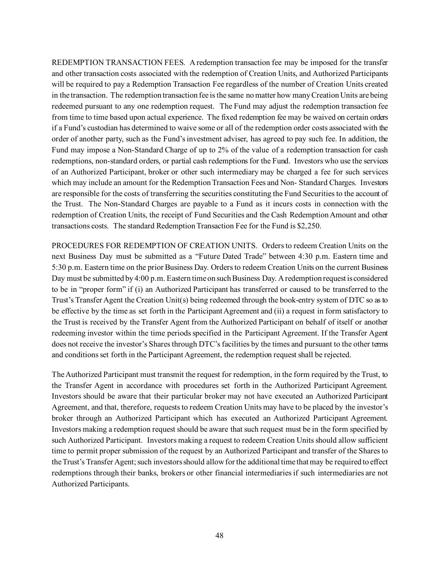REDEMPTION TRANSACTION FEES. A redemption transaction fee may be imposed for the transfer and other transaction costs associated with the redemption of Creation Units, and Authorized Participants will be required to pay a Redemption Transaction Fee regardless of the number of Creation Units created in the transaction. The redemption transaction fee is the same no matter how many Creation Units are being redeemed pursuant to any one redemption request. The Fund may adjust the redemption transaction fee from time to time based upon actual experience. The fixed redemption fee may be waived on certain orders if a Fund's custodian has determined to waive some or all of the redemption order costs associated with the order of another party, such as the Fund's investment adviser, has agreed to pay such fee. In addition, the Fund may impose a Non-Standard Charge of up to 2% of the value of a redemption transaction for cash redemptions, non-standard orders, or partial cash redemptions for the Fund. Investors who use the services of an Authorized Participant, broker or other such intermediary may be charged a fee for such services which may include an amount for the Redemption Transaction Fees and Non- Standard Charges. Investors are responsible for the costs of transferring the securities constituting the Fund Securities to the account of the Trust. The Non-Standard Charges are payable to a Fund as it incurs costs in connection with the redemption of Creation Units, the receipt of Fund Securities and the Cash Redemption Amount and other transactions costs. The standard Redemption Transaction Fee for the Fund is \$2,250.

PROCEDURES FOR REDEMPTION OF CREATION UNITS. Orders to redeem Creation Units on the next Business Day must be submitted as a "Future Dated Trade" between 4:30 p.m. Eastern time and 5:30 p.m. Eastern time on the prior Business Day. Orders to redeem Creation Units on the current Business Day must be submitted by 4:00 p.m. Eastern time on such Business Day. A redemption request is considered to be in "proper form" if (i) an Authorized Participant has transferred or caused to be transferred to the Trust's Transfer Agent the Creation Unit(s) being redeemed through the book-entry system of DTC so as to be effective by the time as set forth in the Participant Agreement and (ii) a request in form satisfactory to the Trust is received by the Transfer Agent from the Authorized Participant on behalf of itself or another redeeming investor within the time periods specified in the Participant Agreement. If the Transfer Agent does not receive the investor's Shares through DTC's facilities by the times and pursuant to the other terms and conditions set forth in the Participant Agreement, the redemption request shall be rejected.

The Authorized Participant must transmit the request for redemption, in the form required by the Trust, to the Transfer Agent in accordance with procedures set forth in the Authorized Participant Agreement. Investors should be aware that their particular broker may not have executed an Authorized Participant Agreement, and that, therefore, requests to redeem Creation Units may have to be placed by the investor's broker through an Authorized Participant which has executed an Authorized Participant Agreement. Investors making a redemption request should be aware that such request must be in the form specified by such Authorized Participant. Investors making a request to redeem Creation Units should allow sufficient time to permit proper submission of the request by an Authorized Participant and transfer of the Shares to the Trust's Transfer Agent; such investors should allow for the additional time that may be required to effect redemptions through their banks, brokers or other financial intermediaries if such intermediaries are not Authorized Participants.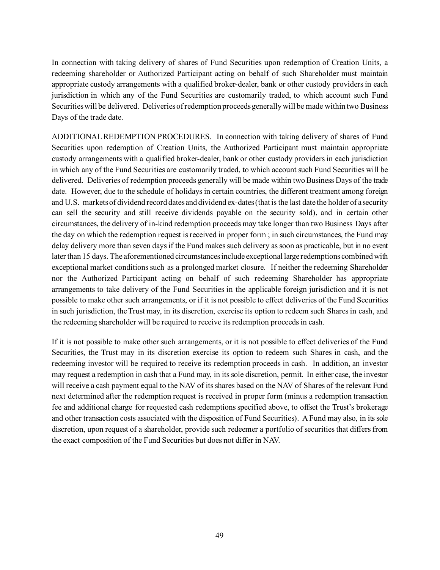In connection with taking delivery of shares of Fund Securities upon redemption of Creation Units, a redeeming shareholder or Authorized Participant acting on behalf of such Shareholder must maintain appropriate custody arrangements with a qualified broker-dealer, bank or other custody providers in each jurisdiction in which any of the Fund Securities are customarily traded, to which account such Fund Securities will be delivered. Deliveries of redemption proceeds generally will be made within two Business Days of the trade date.

ADDITIONAL REDEMPTION PROCEDURES. In connection with taking delivery of shares of Fund Securities upon redemption of Creation Units, the Authorized Participant must maintain appropriate custody arrangements with a qualified broker-dealer, bank or other custody providers in each jurisdiction in which any of the Fund Securities are customarily traded, to which account such Fund Securities will be delivered. Deliveries of redemption proceeds generally will be made within two Business Days of the trade date. However, due to the schedule of holidays in certain countries, the different treatment among foreign and U.S. markets of dividend record dates and dividend ex-dates (that is the last date the holder of a security can sell the security and still receive dividends payable on the security sold), and in certain other circumstances, the delivery of in-kind redemption proceeds may take longer than two Business Days after the day on which the redemption request is received in proper form ; in such circumstances, the Fund may delay delivery more than seven days if the Fund makes such delivery as soon as practicable, but in no event later than 15 days. The aforementioned circumstances include exceptional large redemptions combined with exceptional market conditions such as a prolonged market closure. If neither the redeeming Shareholder nor the Authorized Participant acting on behalf of such redeeming Shareholder has appropriate arrangements to take delivery of the Fund Securities in the applicable foreign jurisdiction and it is not possible to make other such arrangements, or if it is not possible to effect deliveries of the Fund Securities in such jurisdiction, the Trust may, in its discretion, exercise its option to redeem such Shares in cash, and the redeeming shareholder will be required to receive its redemption proceeds in cash.

If it is not possible to make other such arrangements, or it is not possible to effect deliveries of the Fund Securities, the Trust may in its discretion exercise its option to redeem such Shares in cash, and the redeeming investor will be required to receive its redemption proceeds in cash. In addition, an investor may request a redemption in cash that a Fund may, in its sole discretion, permit. In either case, the investor will receive a cash payment equal to the NAV of its shares based on the NAV of Shares of the relevant Fund next determined after the redemption request is received in proper form (minus a redemption transaction fee and additional charge for requested cash redemptions specified above, to offset the Trust's brokerage and other transaction costs associated with the disposition of Fund Securities). A Fund may also, in its sole discretion, upon request of a shareholder, provide such redeemer a portfolio of securities that differs from the exact composition of the Fund Securities but does not differ in NAV.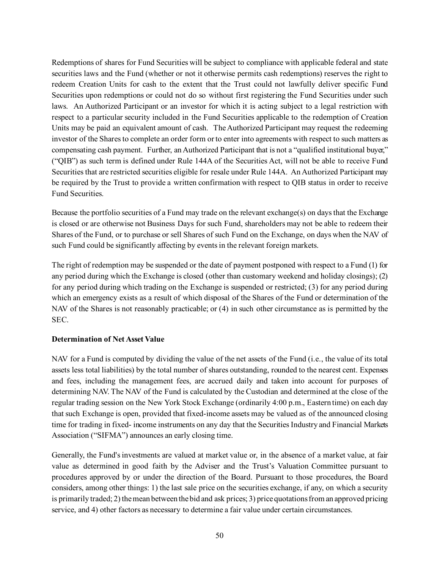Redemptions of shares for Fund Securities will be subject to compliance with applicable federal and state securities laws and the Fund (whether or not it otherwise permits cash redemptions) reserves the right to redeem Creation Units for cash to the extent that the Trust could not lawfully deliver specific Fund Securities upon redemptions or could not do so without first registering the Fund Securities under such laws. An Authorized Participant or an investor for which it is acting subject to a legal restriction with respect to a particular security included in the Fund Securities applicable to the redemption of Creation Units may be paid an equivalent amount of cash. The Authorized Participant may request the redeeming investor of the Shares to complete an order form or to enter into agreements with respect to such matters as compensating cash payment. Further, an Authorized Participant that is not a "qualified institutional buyer," ("QIB") as such term is defined under Rule 144A of the Securities Act, will not be able to receive Fund Securities that are restricted securities eligible for resale under Rule 144A. An Authorized Participant may be required by the Trust to provide a written confirmation with respect to QIB status in order to receive Fund Securities.

Because the portfolio securities of a Fund may trade on the relevant exchange(s) on days that the Exchange is closed or are otherwise not Business Days for such Fund, shareholders may not be able to redeem their Shares of the Fund, or to purchase or sell Shares of such Fund on the Exchange, on days when the NAV of such Fund could be significantly affecting by events in the relevant foreign markets.

The right of redemption may be suspended or the date of payment postponed with respect to a Fund (1) for any period during which the Exchange is closed (other than customary weekend and holiday closings); (2) for any period during which trading on the Exchange is suspended or restricted; (3) for any period during which an emergency exists as a result of which disposal of the Shares of the Fund or determination of the NAV of the Shares is not reasonably practicable; or (4) in such other circumstance as is permitted by the SEC.

#### <span id="page-51-0"></span>**Determination of Net Asset Value**

NAV for a Fund is computed by dividing the value of the net assets of the Fund (i.e., the value of its total assets less total liabilities) by the total number of shares outstanding, rounded to the nearest cent. Expenses and fees, including the management fees, are accrued daily and taken into account for purposes of determining NAV. The NAV of the Fund is calculated by the Custodian and determined at the close of the regular trading session on the New York Stock Exchange (ordinarily 4:00 p.m., Eastern time) on each day that such Exchange is open, provided that fixed-income assets may be valued as of the announced closing time for trading in fixed- income instruments on any day that the Securities Industry and Financial Markets Association ("SIFMA") announces an early closing time.

Generally, the Fund's investments are valued at market value or, in the absence of a market value, at fair value as determined in good faith by the Adviser and the Trust's Valuation Committee pursuant to procedures approved by or under the direction of the Board. Pursuant to those procedures, the Board considers, among other things: 1) the last sale price on the securities exchange, if any, on which a security is primarily traded; 2) the mean between the bid and ask prices; 3) price quotations from an approved pricing service, and 4) other factors as necessary to determine a fair value under certain circumstances.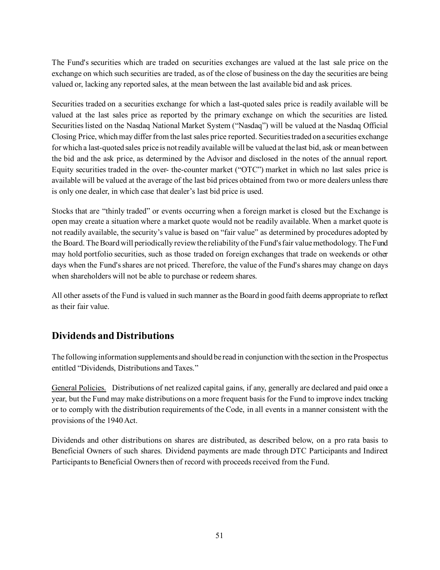The Fund's securities which are traded on securities exchanges are valued at the last sale price on the exchange on which such securities are traded, as of the close of business on the day the securities are being valued or, lacking any reported sales, at the mean between the last available bid and ask prices.

Securities traded on a securities exchange for which a last-quoted sales price is readily available will be valued at the last sales price as reported by the primary exchange on which the securities are listed. Securities listed on the Nasdaq National Market System ("Nasdaq") will be valued at the Nasdaq Official Closing Price, which may differ from the last sales price reported. Securities traded on a securities exchange for which a last-quoted sales price is not readily available will be valued at the last bid, ask or mean between the bid and the ask price, as determined by the Advisor and disclosed in the notes of the annual report. Equity securities traded in the over- the-counter market ("OTC") market in which no last sales price is available will be valued at the average of the last bid prices obtained from two or more dealers unless there is only one dealer, in which case that dealer's last bid price is used.

Stocks that are "thinly traded" or events occurring when a foreign market is closed but the Exchange is open may create a situation where a market quote would not be readily available. When a market quote is not readily available, the security's value is based on "fair value" as determined by procedures adopted by the Board. The Board will periodically review the reliability of the Fund's fair value methodology. The Fund may hold portfolio securities, such as those traded on foreign exchanges that trade on weekends or other days when the Fund's shares are not priced. Therefore, the value of the Fund's shares may change on days when shareholders will not be able to purchase or redeem shares.

All other assets of the Fund is valued in such manner as the Board in good faith deems appropriate to reflect as their fair value.

## <span id="page-52-0"></span>**Dividends and Distributions**

The following information supplements and should be read in conjunction with the section in the Prospectus entitled "Dividends, Distributions and Taxes."

General Policies. Distributions of net realized capital gains, if any, generally are declared and paid once a year, but the Fund may make distributions on a more frequent basis for the Fund to improve index tracking or to comply with the distribution requirements of the Code, in all events in a manner consistent with the provisions of the 1940 Act.

Dividends and other distributions on shares are distributed, as described below, on a pro rata basis to Beneficial Owners of such shares. Dividend payments are made through DTC Participants and Indirect Participants to Beneficial Owners then of record with proceeds received from the Fund.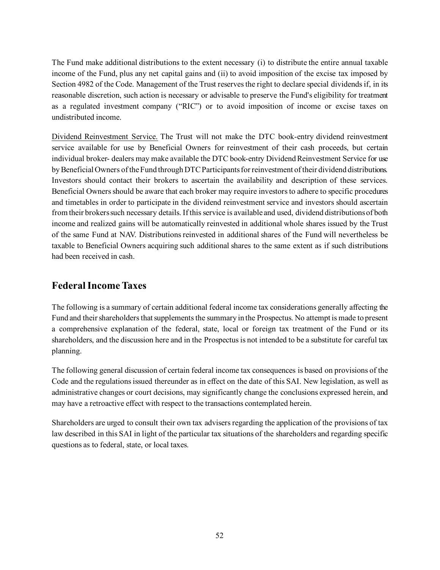The Fund make additional distributions to the extent necessary (i) to distribute the entire annual taxable income of the Fund, plus any net capital gains and (ii) to avoid imposition of the excise tax imposed by Section 4982 of the Code. Management of the Trust reserves the right to declare special dividends if, in its reasonable discretion, such action is necessary or advisable to preserve the Fund's eligibility for treatment as a regulated investment company ("RIC") or to avoid imposition of income or excise taxes on undistributed income.

Dividend Reinvestment Service. The Trust will not make the DTC book-entry dividend reinvestment service available for use by Beneficial Owners for reinvestment of their cash proceeds, but certain individual broker- dealers may make available the DTC book-entry Dividend Reinvestment Service for use by Beneficial Owners of the Fund through DTC Participants for reinvestment of their dividend distributions. Investors should contact their brokers to ascertain the availability and description of these services. Beneficial Owners should be aware that each broker may require investors to adhere to specific procedures and timetables in order to participate in the dividend reinvestment service and investors should ascertain from their brokers such necessary details. If this service is available and used, dividend distributions of both income and realized gains will be automatically reinvested in additional whole shares issued by the Trust of the same Fund at NAV. Distributions reinvested in additional shares of the Fund will nevertheless be taxable to Beneficial Owners acquiring such additional shares to the same extent as if such distributions had been received in cash.

## <span id="page-53-0"></span>**Federal Income Taxes**

The following is a summary of certain additional federal income tax considerations generally affecting the Fund and their shareholders that supplements the summary in the Prospectus. No attempt is made to present a comprehensive explanation of the federal, state, local or foreign tax treatment of the Fund or its shareholders, and the discussion here and in the Prospectus is not intended to be a substitute for careful tax planning.

The following general discussion of certain federal income tax consequences is based on provisions of the Code and the regulations issued thereunder as in effect on the date of this SAI. New legislation, as well as administrative changes or court decisions, may significantly change the conclusions expressed herein, and may have a retroactive effect with respect to the transactions contemplated herein.

Shareholders are urged to consult their own tax advisers regarding the application of the provisions of tax law described in this SAI in light of the particular tax situations of the shareholders and regarding specific questions as to federal, state, or local taxes.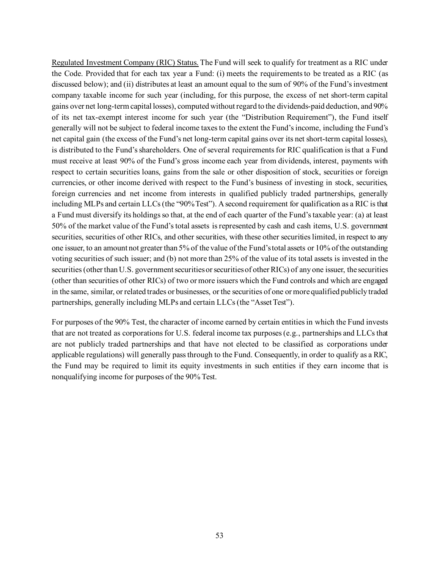Regulated Investment Company (RIC) Status. The Fund will seek to qualify for treatment as a RIC under the Code. Provided that for each tax year a Fund: (i) meets the requirements to be treated as a RIC (as discussed below); and (ii) distributes at least an amount equal to the sum of 90% of the Fund's investment company taxable income for such year (including, for this purpose, the excess of net short-term capital gains over net long-term capital losses), computed without regard to the dividends-paid deduction, and 90% of its net tax-exempt interest income for such year (the "Distribution Requirement"), the Fund itself generally will not be subject to federal income taxes to the extent the Fund's income, including the Fund's net capital gain (the excess of the Fund's net long-term capital gains over its net short-term capital losses), is distributed to the Fund's shareholders. One of several requirements for RIC qualification is that a Fund must receive at least 90% of the Fund's gross income each year from dividends, interest, payments with respect to certain securities loans, gains from the sale or other disposition of stock, securities or foreign currencies, or other income derived with respect to the Fund's business of investing in stock, securities, foreign currencies and net income from interests in qualified publicly traded partnerships, generally including MLPs and certain LLCs (the "90% Test"). A second requirement for qualification as a RIC is that a Fund must diversify its holdings so that, at the end of each quarter of the Fund's taxable year: (a) at least 50% of the market value of the Fund's total assets is represented by cash and cash items, U.S. government securities, securities of other RICs, and other securities, with these other securities limited, in respect to any one issuer, to an amount not greater than 5% of the value of the Fund's total assets or 10% of the outstanding voting securities of such issuer; and (b) not more than 25% of the value of its total assets is invested in the securities (other than U.S. government securities or securities of other RICs) of any one issuer, the securities (other than securities of other RICs) of two or more issuers which the Fund controls and which are engaged in the same, similar, or related trades or businesses, or the securities of one or more qualified publicly traded partnerships, generally including MLPs and certain LLCs (the "Asset Test").

For purposes of the 90% Test, the character of income earned by certain entities in which the Fund invests that are not treated as corporations for U.S. federal income tax purposes (e.g., partnerships and LLCs that are not publicly traded partnerships and that have not elected to be classified as corporations under applicable regulations) will generally pass through to the Fund. Consequently, in order to qualify as a RIC, the Fund may be required to limit its equity investments in such entities if they earn income that is nonqualifying income for purposes of the 90% Test.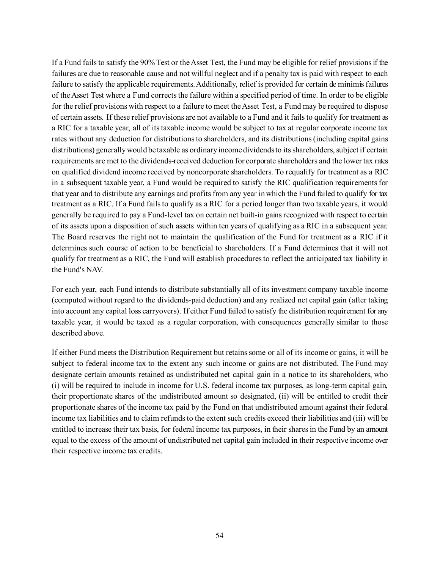If a Fund fails to satisfy the 90% Test or the Asset Test, the Fund may be eligible for relief provisions if the failures are due to reasonable cause and not willful neglect and if a penalty tax is paid with respect to each failure to satisfy the applicable requirements. Additionally, relief is provided for certain de minimis failures of the Asset Test where a Fund corrects the failure within a specified period of time. In order to be eligible for the relief provisions with respect to a failure to meet the Asset Test, a Fund may be required to dispose of certain assets. If these relief provisions are not available to a Fund and it fails to qualify for treatment as a RIC for a taxable year, all of its taxable income would be subject to tax at regular corporate income tax rates without any deduction for distributions to shareholders, and its distributions (including capital gains distributions) generally would be taxable as ordinary income dividends to its shareholders, subject if certain requirements are met to the dividends-received deduction for corporate shareholders and the lower tax rates on qualified dividend income received by noncorporate shareholders. To requalify for treatment as a RIC in a subsequent taxable year, a Fund would be required to satisfy the RIC qualification requirements for that year and to distribute any earnings and profits from any year in which the Fund failed to qualify for tax treatment as a RIC. If a Fund fails to qualify as a RIC for a period longer than two taxable years, it would generally be required to pay a Fund-level tax on certain net built-in gains recognized with respect to certain of its assets upon a disposition of such assets within ten years of qualifying as a RIC in a subsequent year. The Board reserves the right not to maintain the qualification of the Fund for treatment as a RIC if it determines such course of action to be beneficial to shareholders. If a Fund determines that it will not qualify for treatment as a RIC, the Fund will establish procedures to reflect the anticipated tax liability in the Fund's NAV.

For each year, each Fund intends to distribute substantially all of its investment company taxable income (computed without regard to the dividends-paid deduction) and any realized net capital gain (after taking into account any capital loss carryovers). If either Fund failed to satisfy the distribution requirement for any taxable year, it would be taxed as a regular corporation, with consequences generally similar to those described above.

If either Fund meets the Distribution Requirement but retains some or all of its income or gains, it will be subject to federal income tax to the extent any such income or gains are not distributed. The Fund may designate certain amounts retained as undistributed net capital gain in a notice to its shareholders, who (i) will be required to include in income for U.S. federal income tax purposes, as long-term capital gain, their proportionate shares of the undistributed amount so designated, (ii) will be entitled to credit their proportionate shares of the income tax paid by the Fund on that undistributed amount against their federal income tax liabilities and to claim refunds to the extent such credits exceed their liabilities and (iii) will be entitled to increase their tax basis, for federal income tax purposes, in their shares in the Fund by an amount equal to the excess of the amount of undistributed net capital gain included in their respective income over their respective income tax credits.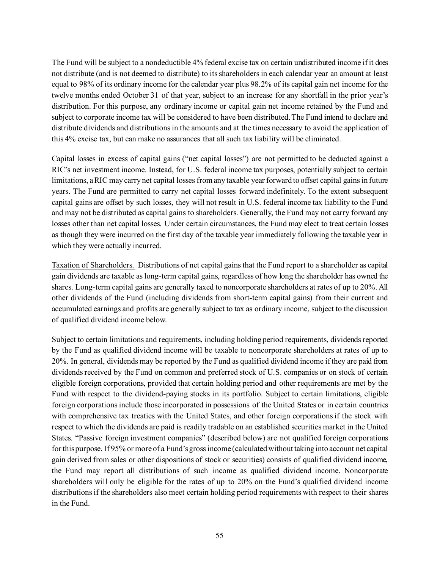The Fund will be subject to a nondeductible 4% federal excise tax on certain undistributed income if it does not distribute (and is not deemed to distribute) to its shareholders in each calendar year an amount at least equal to 98% of its ordinary income for the calendar year plus 98.2% of its capital gain net income for the twelve months ended October 31 of that year, subject to an increase for any shortfall in the prior year's distribution. For this purpose, any ordinary income or capital gain net income retained by the Fund and subject to corporate income tax will be considered to have been distributed. The Fund intend to declare and distribute dividends and distributions in the amounts and at the times necessary to avoid the application of this 4% excise tax, but can make no assurances that all such tax liability will be eliminated.

Capital losses in excess of capital gains ("net capital losses") are not permitted to be deducted against a RIC's net investment income. Instead, for U.S. federal income tax purposes, potentially subject to certain limitations, a RIC may carry net capital losses from any taxable year forward to offset capital gains in future years. The Fund are permitted to carry net capital losses forward indefinitely. To the extent subsequent capital gains are offset by such losses, they will not result in U.S. federal income tax liability to the Fund and may not be distributed as capital gains to shareholders. Generally, the Fund may not carry forward any losses other than net capital losses. Under certain circumstances, the Fund may elect to treat certain losses as though they were incurred on the first day of the taxable year immediately following the taxable year in which they were actually incurred.

Taxation of Shareholders. Distributions of net capital gains that the Fund report to a shareholder as capital gain dividends are taxable as long-term capital gains, regardless of how long the shareholder has owned the shares. Long-term capital gains are generally taxed to noncorporate shareholders at rates of up to 20%. All other dividends of the Fund (including dividends from short-term capital gains) from their current and accumulated earnings and profits are generally subject to tax as ordinary income, subject to the discussion of qualified dividend income below.

Subject to certain limitations and requirements, including holding period requirements, dividends reported by the Fund as qualified dividend income will be taxable to noncorporate shareholders at rates of up to 20%. In general, dividends may be reported by the Fund as qualified dividend income if they are paid from dividends received by the Fund on common and preferred stock of U.S. companies or on stock of certain eligible foreign corporations, provided that certain holding period and other requirements are met by the Fund with respect to the dividend-paying stocks in its portfolio. Subject to certain limitations, eligible foreign corporations include those incorporated in possessions of the United States or in certain countries with comprehensive tax treaties with the United States, and other foreign corporations if the stock with respect to which the dividends are paid is readily tradable on an established securities market in the United States. "Passive foreign investment companies" (described below) are not qualified foreign corporations for this purpose. If 95% or more of a Fund's gross income (calculated without taking into account net capital gain derived from sales or other dispositions of stock or securities) consists of qualified dividend income, the Fund may report all distributions of such income as qualified dividend income. Noncorporate shareholders will only be eligible for the rates of up to 20% on the Fund's qualified dividend income distributions if the shareholders also meet certain holding period requirements with respect to their shares in the Fund.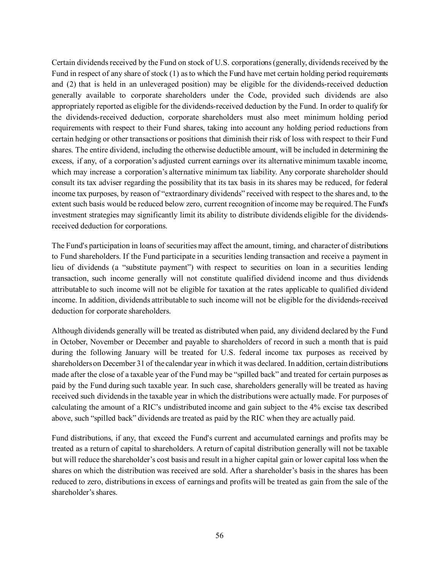Certain dividends received by the Fund on stock of U.S. corporations (generally, dividends received by the Fund in respect of any share of stock (1) as to which the Fund have met certain holding period requirements and (2) that is held in an unleveraged position) may be eligible for the dividends-received deduction generally available to corporate shareholders under the Code, provided such dividends are also appropriately reported as eligible for the dividends-received deduction by the Fund. In order to qualify for the dividends-received deduction, corporate shareholders must also meet minimum holding period requirements with respect to their Fund shares, taking into account any holding period reductions from certain hedging or other transactions or positions that diminish their risk of loss with respect to their Fund shares. The entire dividend, including the otherwise deductible amount, will be included in determining the excess, if any, of a corporation's adjusted current earnings over its alternative minimum taxable income, which may increase a corporation's alternative minimum tax liability. Any corporate shareholder should consult its tax adviser regarding the possibility that its tax basis in its shares may be reduced, for federal income tax purposes, by reason of "extraordinary dividends" received with respect to the shares and, to the extent such basis would be reduced below zero, current recognition of income may be required. The Fund's investment strategies may significantly limit its ability to distribute dividends eligible for the dividendsreceived deduction for corporations.

The Fund's participation in loans of securities may affect the amount, timing, and character of distributions to Fund shareholders. If the Fund participate in a securities lending transaction and receive a payment in lieu of dividends (a "substitute payment") with respect to securities on loan in a securities lending transaction, such income generally will not constitute qualified dividend income and thus dividends attributable to such income will not be eligible for taxation at the rates applicable to qualified dividend income. In addition, dividends attributable to such income will not be eligible for the dividends-received deduction for corporate shareholders.

Although dividends generally will be treated as distributed when paid, any dividend declared by the Fund in October, November or December and payable to shareholders of record in such a month that is paid during the following January will be treated for U.S. federal income tax purposes as received by shareholders on December 31 of the calendar year in which it was declared. In addition, certain distributions made after the close of a taxable year of the Fund may be "spilled back" and treated for certain purposes as paid by the Fund during such taxable year. In such case, shareholders generally will be treated as having received such dividends in the taxable year in which the distributions were actually made. For purposes of calculating the amount of a RIC's undistributed income and gain subject to the 4% excise tax described above, such "spilled back" dividends are treated as paid by the RIC when they are actually paid.

Fund distributions, if any, that exceed the Fund's current and accumulated earnings and profits may be treated as a return of capital to shareholders. A return of capital distribution generally will not be taxable but will reduce the shareholder's cost basis and result in a higher capital gain or lower capital loss when the shares on which the distribution was received are sold. After a shareholder's basis in the shares has been reduced to zero, distributions in excess of earnings and profits will be treated as gain from the sale of the shareholder's shares.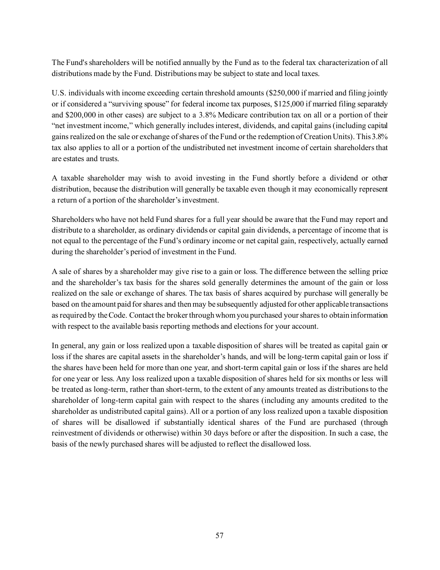The Fund's shareholders will be notified annually by the Fund as to the federal tax characterization of all distributions made by the Fund. Distributions may be subject to state and local taxes.

U.S. individuals with income exceeding certain threshold amounts (\$250,000 if married and filing jointly or if considered a "surviving spouse" for federal income tax purposes, \$125,000 if married filing separately and \$200,000 in other cases) are subject to a 3.8% Medicare contribution tax on all or a portion of their "net investment income," which generally includes interest, dividends, and capital gains (including capital gains realized on the sale or exchange of shares of the Fund or the redemption of Creation Units). This 3.8% tax also applies to all or a portion of the undistributed net investment income of certain shareholders that are estates and trusts.

A taxable shareholder may wish to avoid investing in the Fund shortly before a dividend or other distribution, because the distribution will generally be taxable even though it may economically represent a return of a portion of the shareholder's investment.

Shareholders who have not held Fund shares for a full year should be aware that the Fund may report and distribute to a shareholder, as ordinary dividends or capital gain dividends, a percentage of income that is not equal to the percentage of the Fund's ordinary income or net capital gain, respectively, actually earned during the shareholder's period of investment in the Fund.

A sale of shares by a shareholder may give rise to a gain or loss. The difference between the selling price and the shareholder's tax basis for the shares sold generally determines the amount of the gain or loss realized on the sale or exchange of shares. The tax basis of shares acquired by purchase will generally be based on the amount paid for shares and then may be subsequently adjusted for other applicable transactions as required by the Code. Contact the broker through whom you purchased your shares to obtain information with respect to the available basis reporting methods and elections for your account.

In general, any gain or loss realized upon a taxable disposition of shares will be treated as capital gain or loss if the shares are capital assets in the shareholder's hands, and will be long-term capital gain or loss if the shares have been held for more than one year, and short-term capital gain or loss if the shares are held for one year or less. Any loss realized upon a taxable disposition of shares held for six months or less will be treated as long-term, rather than short-term, to the extent of any amounts treated as distributions to the shareholder of long-term capital gain with respect to the shares (including any amounts credited to the shareholder as undistributed capital gains). All or a portion of any loss realized upon a taxable disposition of shares will be disallowed if substantially identical shares of the Fund are purchased (through reinvestment of dividends or otherwise) within 30 days before or after the disposition. In such a case, the basis of the newly purchased shares will be adjusted to reflect the disallowed loss.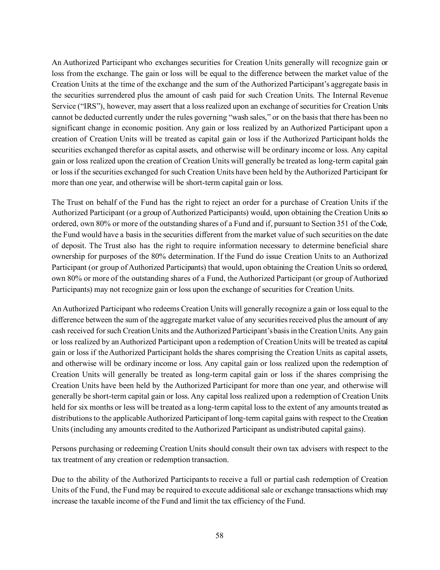An Authorized Participant who exchanges securities for Creation Units generally will recognize gain or loss from the exchange. The gain or loss will be equal to the difference between the market value of the Creation Units at the time of the exchange and the sum of the Authorized Participant's aggregate basis in the securities surrendered plus the amount of cash paid for such Creation Units. The Internal Revenue Service ("IRS"), however, may assert that a loss realized upon an exchange of securities for Creation Units cannot be deducted currently under the rules governing "wash sales," or on the basis that there has been no significant change in economic position. Any gain or loss realized by an Authorized Participant upon a creation of Creation Units will be treated as capital gain or loss if the Authorized Participant holds the securities exchanged therefor as capital assets, and otherwise will be ordinary income or loss. Any capital gain or loss realized upon the creation of Creation Units will generally be treated as long-term capital gain or loss if the securities exchanged for such Creation Units have been held by the Authorized Participant for more than one year, and otherwise will be short-term capital gain or loss.

The Trust on behalf of the Fund has the right to reject an order for a purchase of Creation Units if the Authorized Participant (or a group of Authorized Participants) would, upon obtaining the Creation Units so ordered, own 80% or more of the outstanding shares of a Fund and if, pursuant to Section 351 of the Code, the Fund would have a basis in the securities different from the market value of such securities on the date of deposit. The Trust also has the right to require information necessary to determine beneficial share ownership for purposes of the 80% determination. If the Fund do issue Creation Units to an Authorized Participant (or group of Authorized Participants) that would, upon obtaining the Creation Units so ordered, own 80% or more of the outstanding shares of a Fund, the Authorized Participant (or group of Authorized Participants) may not recognize gain or loss upon the exchange of securities for Creation Units.

An Authorized Participant who redeems Creation Units will generally recognize a gain or loss equal to the difference between the sum of the aggregate market value of any securities received plus the amount of any cash received for such Creation Units and the Authorized Participant's basis in the Creation Units. Any gain or loss realized by an Authorized Participant upon a redemption of Creation Units will be treated as capital gain or loss if the Authorized Participant holds the shares comprising the Creation Units as capital assets, and otherwise will be ordinary income or loss. Any capital gain or loss realized upon the redemption of Creation Units will generally be treated as long-term capital gain or loss if the shares comprising the Creation Units have been held by the Authorized Participant for more than one year, and otherwise will generally be short-term capital gain or loss. Any capital loss realized upon a redemption of Creation Units held for six months or less will be treated as a long-term capital loss to the extent of any amounts treated as distributions to the applicable Authorized Participant of long-term capital gains with respect to the Creation Units (including any amounts credited to the Authorized Participant as undistributed capital gains).

Persons purchasing or redeeming Creation Units should consult their own tax advisers with respect to the tax treatment of any creation or redemption transaction.

Due to the ability of the Authorized Participants to receive a full or partial cash redemption of Creation Units of the Fund, the Fund may be required to execute additional sale or exchange transactions which may increase the taxable income of the Fund and limit the tax efficiency of the Fund.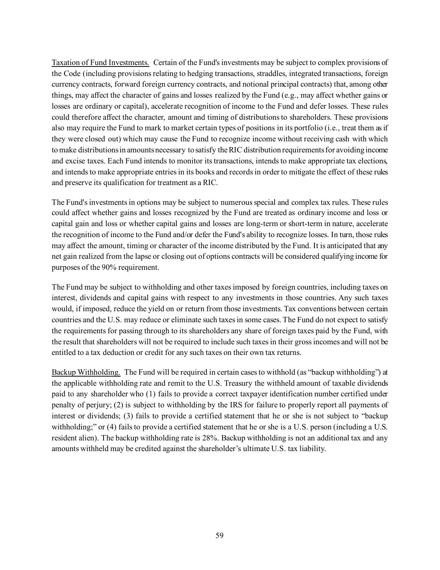Taxation of Fund Investments. Certain of the Fund's investments may be subject to complex provisions of the Code (including provisions relating to hedging transactions, straddles, integrated transactions, foreign currency contracts, forward foreign currency contracts, and notional principal contracts) that, among other things, may affect the character of gains and losses realized by the Fund (e.g., may affect whether gains or losses are ordinary or capital), accelerate recognition of income to the Fund and defer losses. These rules could therefore affect the character, amount and timing of distributions to shareholders. These provisions also may require the Fund to mark to market certain types of positions in its portfolio (i.e., treat them as if they were closed out) which may cause the Fund to recognize income without receiving cash with which to make distributions in amounts necessary to satisfy the RIC distribution requirements for avoiding income and excise taxes. Each Fund intends to monitor its transactions, intends to make appropriate tax elections, and intends to make appropriate entries in its books and records in order to mitigate the effect of these rules and preserve its qualification for treatment as a RIC.

The Fund's investments in options may be subject to numerous special and complex tax rules. These rules could affect whether gains and losses recognized by the Fund are treated as ordinary income and loss or capital gain and loss or whether capital gains and losses are long-term or short-term in nature, accelerate the recognition of income to the Fund and/or defer the Fund's ability to recognize losses. In turn, those rules may affect the amount, timing or character of the income distributed by the Fund. It is anticipated that any net gain realized from the lapse or closing out of options contracts will be considered qualifying income for purposes of the 90% requirement.

The Fund may be subject to withholding and other taxes imposed by foreign countries, including taxes on interest, dividends and capital gains with respect to any investments in those countries. Any such taxes would, if imposed, reduce the yield on or return from those investments. Tax conventions between certain countries and the U.S. may reduce or eliminate such taxes in some cases. The Fund do not expect to satisfy the requirements for passing through to its shareholders any share of foreign taxes paid by the Fund, with the result that shareholders will not be required to include such taxes in their gross incomes and will not be entitled to a tax deduction or credit for any such taxes on their own tax returns.

Backup Withholding. The Fund will be required in certain cases to withhold (as "backup withholding") at the applicable withholding rate and remit to the U.S. Treasury the withheld amount of taxable dividends paid to any shareholder who (1) fails to provide a correct taxpayer identification number certified under penalty of perjury; (2) is subject to withholding by the IRS for failure to properly report all payments of interest or dividends; (3) fails to provide a certified statement that he or she is not subject to "backup withholding;" or (4) fails to provide a certified statement that he or she is a U.S. person (including a U.S. resident alien). The backup withholding rate is 28%. Backup withholding is not an additional tax and any amounts withheld may be credited against the shareholder's ultimate U.S. tax liability.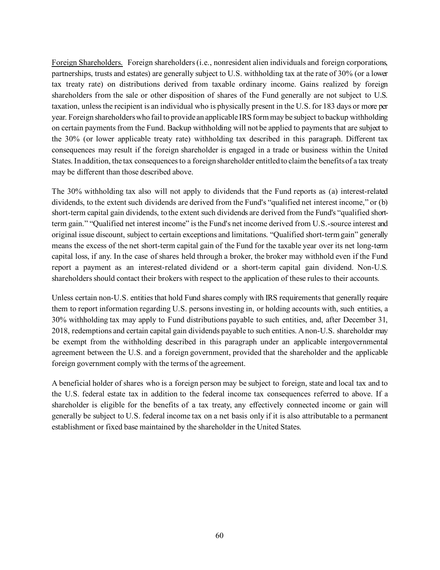Foreign Shareholders. Foreign shareholders (i.e., nonresident alien individuals and foreign corporations, partnerships, trusts and estates) are generally subject to U.S. withholding tax at the rate of 30% (or a lower tax treaty rate) on distributions derived from taxable ordinary income. Gains realized by foreign shareholders from the sale or other disposition of shares of the Fund generally are not subject to U.S. taxation, unless the recipient is an individual who is physically present in the U.S. for 183 days or more per year. Foreign shareholders who fail to provide an applicable IRS form may be subject to backup withholding on certain payments from the Fund. Backup withholding will not be applied to payments that are subject to the 30% (or lower applicable treaty rate) withholding tax described in this paragraph. Different tax consequences may result if the foreign shareholder is engaged in a trade or business within the United States. In addition, the tax consequences to a foreign shareholder entitled to claim the benefits of a tax treaty may be different than those described above.

The 30% withholding tax also will not apply to dividends that the Fund reports as (a) interest-related dividends, to the extent such dividends are derived from the Fund's "qualified net interest income," or (b) short-term capital gain dividends, to the extent such dividends are derived from the Fund's "qualified shortterm gain." "Qualified net interest income" is the Fund's net income derived from U.S.-source interest and original issue discount, subject to certain exceptions and limitations. "Qualified short-term gain" generally means the excess of the net short-term capital gain of the Fund for the taxable year over its net long-term capital loss, if any. In the case of shares held through a broker, the broker may withhold even if the Fund report a payment as an interest-related dividend or a short-term capital gain dividend. Non-U.S. shareholders should contact their brokers with respect to the application of these rules to their accounts.

Unless certain non-U.S. entities that hold Fund shares comply with IRS requirements that generally require them to report information regarding U.S. persons investing in, or holding accounts with, such entities, a 30% withholding tax may apply to Fund distributions payable to such entities, and, after December 31, 2018, redemptions and certain capital gain dividends payable to such entities. A non-U.S. shareholder may be exempt from the withholding described in this paragraph under an applicable intergovernmental agreement between the U.S. and a foreign government, provided that the shareholder and the applicable foreign government comply with the terms of the agreement.

A beneficial holder of shares who is a foreign person may be subject to foreign, state and local tax and to the U.S. federal estate tax in addition to the federal income tax consequences referred to above. If a shareholder is eligible for the benefits of a tax treaty, any effectively connected income or gain will generally be subject to U.S. federal income tax on a net basis only if it is also attributable to a permanent establishment or fixed base maintained by the shareholder in the United States.